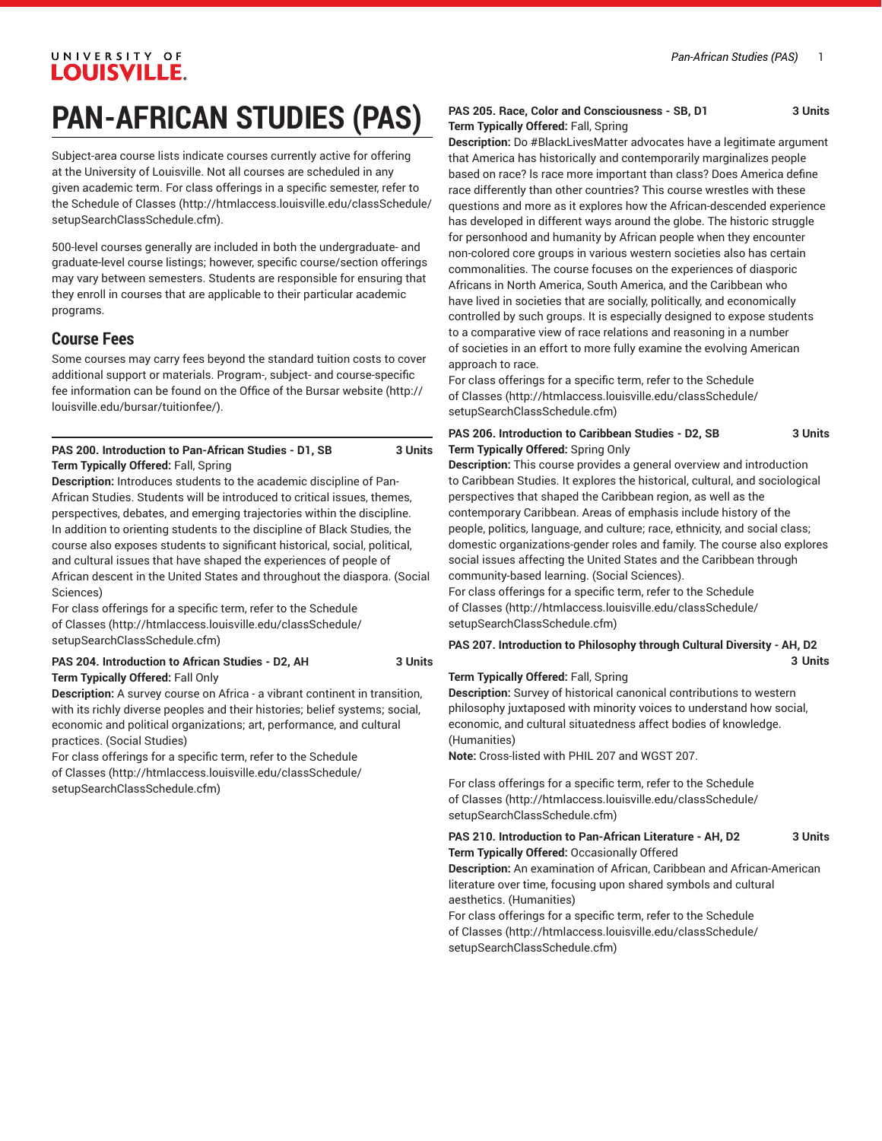# **PAN-AFRICAN STUDIES (PAS)**

Subject-area course lists indicate courses currently active for offering at the University of Louisville. Not all courses are scheduled in any given academic term. For class offerings in a specific semester, refer to the [Schedule of Classes](http://htmlaccess.louisville.edu/classSchedule/setupSearchClassSchedule.cfm) ([http://htmlaccess.louisville.edu/classSchedule/](http://htmlaccess.louisville.edu/classSchedule/setupSearchClassSchedule.cfm) [setupSearchClassSchedule.cfm\)](http://htmlaccess.louisville.edu/classSchedule/setupSearchClassSchedule.cfm).

500-level courses generally are included in both the undergraduate- and graduate-level course listings; however, specific course/section offerings may vary between semesters. Students are responsible for ensuring that they enroll in courses that are applicable to their particular academic programs.

# **Course Fees**

Some courses may carry fees beyond the standard tuition costs to cover additional support or materials. Program-, subject- and course-specific fee information can be found on the [Office of the Bursar website](http://louisville.edu/bursar/tuitionfee/) ([http://](http://louisville.edu/bursar/tuitionfee/) [louisville.edu/bursar/tuitionfee/](http://louisville.edu/bursar/tuitionfee/)).

#### **PAS 200. Introduction to Pan-African Studies - D1, SB 3 Units Term Typically Offered:** Fall, Spring

**Description:** Introduces students to the academic discipline of Pan-African Studies. Students will be introduced to critical issues, themes, perspectives, debates, and emerging trajectories within the discipline. In addition to orienting students to the discipline of Black Studies, the course also exposes students to significant historical, social, political, and cultural issues that have shaped the experiences of people of African descent in the United States and throughout the diaspora. (Social Sciences)

For class offerings for a specific term, refer to the [Schedule](http://htmlaccess.louisville.edu/classSchedule/setupSearchClassSchedule.cfm) [of Classes \(http://htmlaccess.louisville.edu/classSchedule/](http://htmlaccess.louisville.edu/classSchedule/setupSearchClassSchedule.cfm) [setupSearchClassSchedule.cfm\)](http://htmlaccess.louisville.edu/classSchedule/setupSearchClassSchedule.cfm)

#### **PAS 204. Introduction to African Studies - D2, AH 3 Units Term Typically Offered:** Fall Only

**Description:** A survey course on Africa - a vibrant continent in transition, with its richly diverse peoples and their histories; belief systems; social, economic and political organizations; art, performance, and cultural practices. (Social Studies)

For class offerings for a specific term, refer to the [Schedule](http://htmlaccess.louisville.edu/classSchedule/setupSearchClassSchedule.cfm) [of Classes \(http://htmlaccess.louisville.edu/classSchedule/](http://htmlaccess.louisville.edu/classSchedule/setupSearchClassSchedule.cfm) [setupSearchClassSchedule.cfm\)](http://htmlaccess.louisville.edu/classSchedule/setupSearchClassSchedule.cfm)

#### **PAS 205. Race, Color and Consciousness - SB, D1 3 Units Term Typically Offered:** Fall, Spring

**Description:** Do #BlackLivesMatter advocates have a legitimate argument that America has historically and contemporarily marginalizes people based on race? ls race more important than class? Does America define race differently than other countries? This course wrestles with these questions and more as it explores how the African-descended experience has developed in different ways around the globe. The historic struggle for personhood and humanity by African people when they encounter non-colored core groups in various western societies also has certain commonalities. The course focuses on the experiences of diasporic Africans in North America, South America, and the Caribbean who have lived in societies that are socially, politically, and economically controlled by such groups. It is especially designed to expose students to a comparative view of race relations and reasoning in a number of societies in an effort to more fully examine the evolving American approach to race.

For class offerings for a specific term, refer to the [Schedule](http://htmlaccess.louisville.edu/classSchedule/setupSearchClassSchedule.cfm) [of Classes](http://htmlaccess.louisville.edu/classSchedule/setupSearchClassSchedule.cfm) ([http://htmlaccess.louisville.edu/classSchedule/](http://htmlaccess.louisville.edu/classSchedule/setupSearchClassSchedule.cfm) [setupSearchClassSchedule.cfm\)](http://htmlaccess.louisville.edu/classSchedule/setupSearchClassSchedule.cfm)

#### **PAS 206. Introduction to Caribbean Studies - D2, SB 3 Units Term Typically Offered:** Spring Only

**Description:** This course provides a general overview and introduction to Caribbean Studies. It explores the historical, cultural, and sociological perspectives that shaped the Caribbean region, as well as the contemporary Caribbean. Areas of emphasis include history of the people, politics, language, and culture; race, ethnicity, and social class; domestic organizations-gender roles and family. The course also explores social issues affecting the United States and the Caribbean through community-based learning. (Social Sciences).

For class offerings for a specific term, refer to the [Schedule](http://htmlaccess.louisville.edu/classSchedule/setupSearchClassSchedule.cfm) [of Classes](http://htmlaccess.louisville.edu/classSchedule/setupSearchClassSchedule.cfm) ([http://htmlaccess.louisville.edu/classSchedule/](http://htmlaccess.louisville.edu/classSchedule/setupSearchClassSchedule.cfm) [setupSearchClassSchedule.cfm\)](http://htmlaccess.louisville.edu/classSchedule/setupSearchClassSchedule.cfm)

#### **PAS 207. Introduction to Philosophy through Cultural Diversity - AH, D2**

**3 Units**

#### **Term Typically Offered:** Fall, Spring

**Description:** Survey of historical canonical contributions to western philosophy juxtaposed with minority voices to understand how social, economic, and cultural situatedness affect bodies of knowledge. (Humanities)

**Note:** Cross-listed with PHIL 207 and WGST 207.

For class offerings for a specific term, refer to the [Schedule](http://htmlaccess.louisville.edu/classSchedule/setupSearchClassSchedule.cfm) [of Classes](http://htmlaccess.louisville.edu/classSchedule/setupSearchClassSchedule.cfm) ([http://htmlaccess.louisville.edu/classSchedule/](http://htmlaccess.louisville.edu/classSchedule/setupSearchClassSchedule.cfm) [setupSearchClassSchedule.cfm\)](http://htmlaccess.louisville.edu/classSchedule/setupSearchClassSchedule.cfm)

**PAS 210. Introduction to Pan-African Literature - AH, D2 3 Units Term Typically Offered:** Occasionally Offered

**Description:** An examination of African, Caribbean and African-American literature over time, focusing upon shared symbols and cultural aesthetics. (Humanities)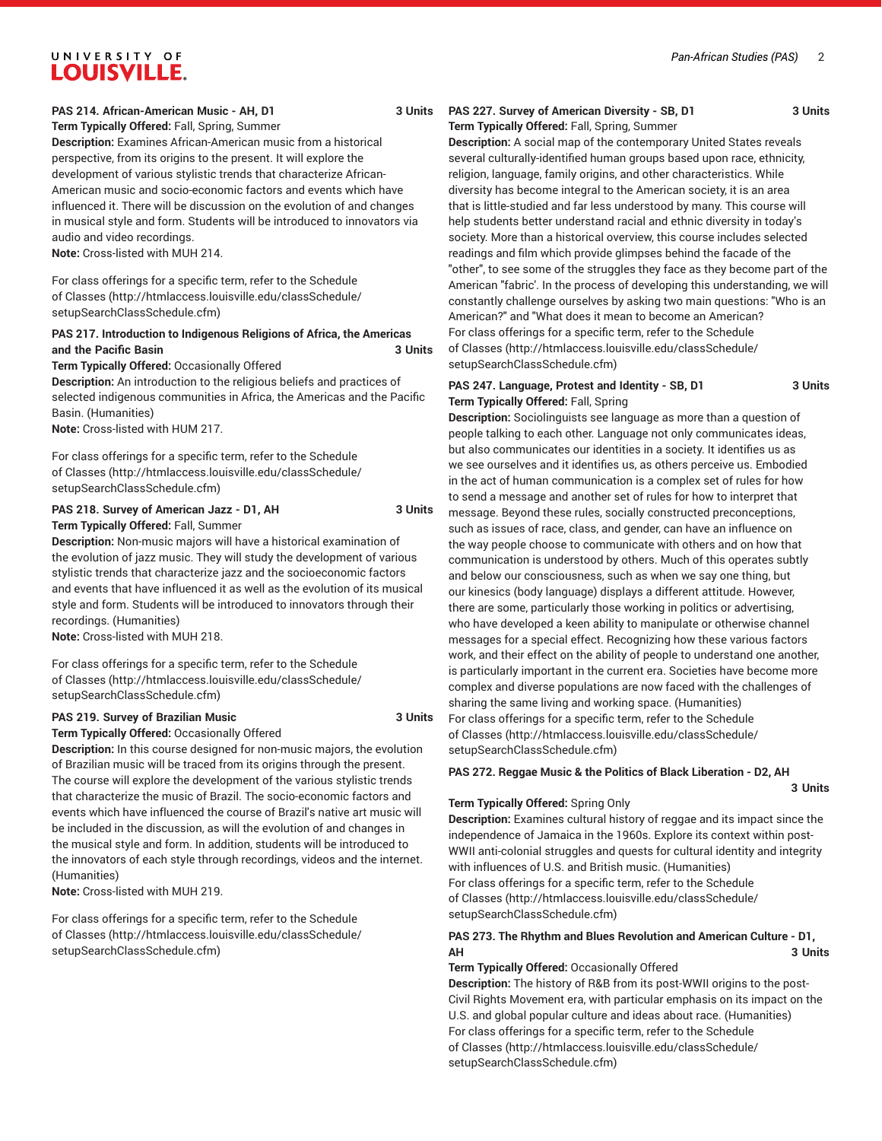#### **PAS 214. African-American Music - AH, D1 3 Units**

#### **Term Typically Offered:** Fall, Spring, Summer **Description:** Examines African-American music from a historical perspective, from its origins to the present. It will explore the development of various stylistic trends that characterize African-American music and socio-economic factors and events which have influenced it. There will be discussion on the evolution of and changes in musical style and form. Students will be introduced to innovators via audio and video recordings.

**Note:** Cross-listed with MUH 214.

For class offerings for a specific term, refer to the [Schedule](http://htmlaccess.louisville.edu/classSchedule/setupSearchClassSchedule.cfm) [of Classes \(http://htmlaccess.louisville.edu/classSchedule/](http://htmlaccess.louisville.edu/classSchedule/setupSearchClassSchedule.cfm) [setupSearchClassSchedule.cfm\)](http://htmlaccess.louisville.edu/classSchedule/setupSearchClassSchedule.cfm)

#### **PAS 217. Introduction to Indigenous Religions of Africa, the Americas and the Pacific Basin 3 Units**

#### **Term Typically Offered:** Occasionally Offered

**Description:** An introduction to the religious beliefs and practices of selected indigenous communities in Africa, the Americas and the Pacific Basin. (Humanities)

**Note:** Cross-listed with HUM 217.

For class offerings for a specific term, refer to the [Schedule](http://htmlaccess.louisville.edu/classSchedule/setupSearchClassSchedule.cfm) [of Classes \(http://htmlaccess.louisville.edu/classSchedule/](http://htmlaccess.louisville.edu/classSchedule/setupSearchClassSchedule.cfm) [setupSearchClassSchedule.cfm\)](http://htmlaccess.louisville.edu/classSchedule/setupSearchClassSchedule.cfm)

#### **PAS 218. Survey of American Jazz - D1, AH 3 Units Term Typically Offered:** Fall, Summer

**Description:** Non-music majors will have a historical examination of the evolution of jazz music. They will study the development of various stylistic trends that characterize jazz and the socioeconomic factors and events that have influenced it as well as the evolution of its musical style and form. Students will be introduced to innovators through their recordings. (Humanities)

**Note:** Cross-listed with MUH 218.

For class offerings for a specific term, refer to the [Schedule](http://htmlaccess.louisville.edu/classSchedule/setupSearchClassSchedule.cfm) [of Classes \(http://htmlaccess.louisville.edu/classSchedule/](http://htmlaccess.louisville.edu/classSchedule/setupSearchClassSchedule.cfm) [setupSearchClassSchedule.cfm\)](http://htmlaccess.louisville.edu/classSchedule/setupSearchClassSchedule.cfm)

#### **PAS 219. Survey of Brazilian Music 3 Units**

#### **Term Typically Offered:** Occasionally Offered

**Description:** In this course designed for non-music majors, the evolution of Brazilian music will be traced from its origins through the present. The course will explore the development of the various stylistic trends that characterize the music of Brazil. The socio-economic factors and events which have influenced the course of Brazil's native art music will be included in the discussion, as will the evolution of and changes in the musical style and form. In addition, students will be introduced to the innovators of each style through recordings, videos and the internet. (Humanities)

**Note:** Cross-listed with MUH 219.

For class offerings for a specific term, refer to the [Schedule](http://htmlaccess.louisville.edu/classSchedule/setupSearchClassSchedule.cfm) [of Classes \(http://htmlaccess.louisville.edu/classSchedule/](http://htmlaccess.louisville.edu/classSchedule/setupSearchClassSchedule.cfm) [setupSearchClassSchedule.cfm\)](http://htmlaccess.louisville.edu/classSchedule/setupSearchClassSchedule.cfm)

#### **PAS 227. Survey of American Diversity - SB, D1 3 Units Term Typically Offered:** Fall, Spring, Summer

**3 Units**

**Description:** A social map of the contemporary United States reveals several culturally-identified human groups based upon race, ethnicity, religion, language, family origins, and other characteristics. While diversity has become integral to the American society, it is an area that is little-studied and far less understood by many. This course will help students better understand racial and ethnic diversity in today's society. More than a historical overview, this course includes selected readings and film which provide glimpses behind the facade of the "other", to see some of the struggles they face as they become part of the American "fabric'. In the process of developing this understanding, we will constantly challenge ourselves by asking two main questions: "Who is an American?" and "What does it mean to become an American? For class offerings for a specific term, refer to the [Schedule](http://htmlaccess.louisville.edu/classSchedule/setupSearchClassSchedule.cfm) [of Classes](http://htmlaccess.louisville.edu/classSchedule/setupSearchClassSchedule.cfm) ([http://htmlaccess.louisville.edu/classSchedule/](http://htmlaccess.louisville.edu/classSchedule/setupSearchClassSchedule.cfm) [setupSearchClassSchedule.cfm\)](http://htmlaccess.louisville.edu/classSchedule/setupSearchClassSchedule.cfm)

#### **PAS 247. Language, Protest and Identity - SB, D1 3 Units Term Typically Offered:** Fall, Spring

**Description:** Sociolinguists see language as more than a question of people talking to each other. Language not only communicates ideas, but also communicates our identities in a society. It identifies us as we see ourselves and it identifies us, as others perceive us. Embodied in the act of human communication is a complex set of rules for how to send a message and another set of rules for how to interpret that message. Beyond these rules, socially constructed preconceptions, such as issues of race, class, and gender, can have an influence on the way people choose to communicate with others and on how that communication is understood by others. Much of this operates subtly and below our consciousness, such as when we say one thing, but our kinesics (body language) displays a different attitude. However, there are some, particularly those working in politics or advertising, who have developed a keen ability to manipulate or otherwise channel messages for a special effect. Recognizing how these various factors work, and their effect on the ability of people to understand one another, is particularly important in the current era. Societies have become more complex and diverse populations are now faced with the challenges of sharing the same living and working space. (Humanities) For class offerings for a specific term, refer to the [Schedule](http://htmlaccess.louisville.edu/classSchedule/setupSearchClassSchedule.cfm)

[of Classes](http://htmlaccess.louisville.edu/classSchedule/setupSearchClassSchedule.cfm) ([http://htmlaccess.louisville.edu/classSchedule/](http://htmlaccess.louisville.edu/classSchedule/setupSearchClassSchedule.cfm) [setupSearchClassSchedule.cfm\)](http://htmlaccess.louisville.edu/classSchedule/setupSearchClassSchedule.cfm)

#### **PAS 272. Reggae Music & the Politics of Black Liberation - D2, AH**

#### **Term Typically Offered:** Spring Only

**Description:** Examines cultural history of reggae and its impact since the independence of Jamaica in the 1960s. Explore its context within post-WWII anti-colonial struggles and quests for cultural identity and integrity with influences of U.S. and British music. (Humanities) For class offerings for a specific term, refer to the [Schedule](http://htmlaccess.louisville.edu/classSchedule/setupSearchClassSchedule.cfm) [of Classes](http://htmlaccess.louisville.edu/classSchedule/setupSearchClassSchedule.cfm) ([http://htmlaccess.louisville.edu/classSchedule/](http://htmlaccess.louisville.edu/classSchedule/setupSearchClassSchedule.cfm) [setupSearchClassSchedule.cfm\)](http://htmlaccess.louisville.edu/classSchedule/setupSearchClassSchedule.cfm)

#### **PAS 273. The Rhythm and Blues Revolution and American Culture - D1, AH 3 Units**

**Term Typically Offered:** Occasionally Offered **Description:** The history of R&B from its post-WWII origins to the post-Civil Rights Movement era, with particular emphasis on its impact on the U.S. and global popular culture and ideas about race. (Humanities) For class offerings for a specific term, refer to the [Schedule](http://htmlaccess.louisville.edu/classSchedule/setupSearchClassSchedule.cfm) [of Classes](http://htmlaccess.louisville.edu/classSchedule/setupSearchClassSchedule.cfm) ([http://htmlaccess.louisville.edu/classSchedule/](http://htmlaccess.louisville.edu/classSchedule/setupSearchClassSchedule.cfm) [setupSearchClassSchedule.cfm\)](http://htmlaccess.louisville.edu/classSchedule/setupSearchClassSchedule.cfm)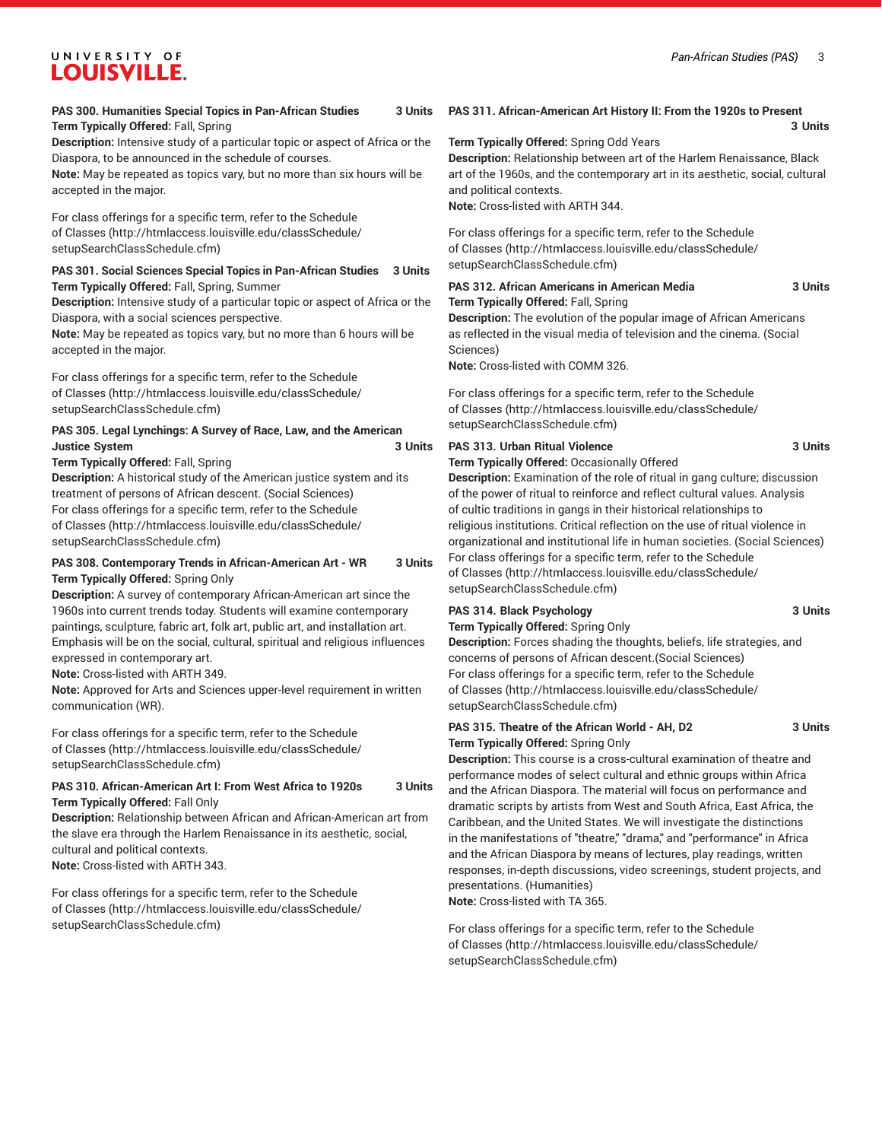#### **PAS 300. Humanities Special Topics in Pan-African Studies 3 Units Term Typically Offered:** Fall, Spring

**Description:** Intensive study of a particular topic or aspect of Africa or the Diaspora, to be announced in the schedule of courses.

**Note:** May be repeated as topics vary, but no more than six hours will be accepted in the major.

For class offerings for a specific term, refer to the [Schedule](http://htmlaccess.louisville.edu/classSchedule/setupSearchClassSchedule.cfm) [of Classes \(http://htmlaccess.louisville.edu/classSchedule/](http://htmlaccess.louisville.edu/classSchedule/setupSearchClassSchedule.cfm) [setupSearchClassSchedule.cfm\)](http://htmlaccess.louisville.edu/classSchedule/setupSearchClassSchedule.cfm)

#### **PAS 301. Social Sciences Special Topics in Pan-African Studies 3 Units Term Typically Offered:** Fall, Spring, Summer

**Description:** Intensive study of a particular topic or aspect of Africa or the Diaspora, with a social sciences perspective.

**Note:** May be repeated as topics vary, but no more than 6 hours will be accepted in the major.

For class offerings for a specific term, refer to the [Schedule](http://htmlaccess.louisville.edu/classSchedule/setupSearchClassSchedule.cfm) [of Classes \(http://htmlaccess.louisville.edu/classSchedule/](http://htmlaccess.louisville.edu/classSchedule/setupSearchClassSchedule.cfm) [setupSearchClassSchedule.cfm\)](http://htmlaccess.louisville.edu/classSchedule/setupSearchClassSchedule.cfm)

#### **PAS 305. Legal Lynchings: A Survey of Race, Law, and the American Justice System 3 Units**

**Term Typically Offered:** Fall, Spring

**Description:** A historical study of the American justice system and its treatment of persons of African descent. (Social Sciences) For class offerings for a specific term, refer to the [Schedule](http://htmlaccess.louisville.edu/classSchedule/setupSearchClassSchedule.cfm) [of Classes \(http://htmlaccess.louisville.edu/classSchedule/](http://htmlaccess.louisville.edu/classSchedule/setupSearchClassSchedule.cfm) [setupSearchClassSchedule.cfm\)](http://htmlaccess.louisville.edu/classSchedule/setupSearchClassSchedule.cfm)

#### **PAS 308. Contemporary Trends in African-American Art - WR 3 Units Term Typically Offered:** Spring Only

**Description:** A survey of contemporary African-American art since the 1960s into current trends today. Students will examine contemporary paintings, sculpture, fabric art, folk art, public art, and installation art. Emphasis will be on the social, cultural, spiritual and religious influences expressed in contemporary art.

**Note:** Cross-listed with ARTH 349.

**Note:** Approved for Arts and Sciences upper-level requirement in written communication (WR).

For class offerings for a specific term, refer to the [Schedule](http://htmlaccess.louisville.edu/classSchedule/setupSearchClassSchedule.cfm) [of Classes \(http://htmlaccess.louisville.edu/classSchedule/](http://htmlaccess.louisville.edu/classSchedule/setupSearchClassSchedule.cfm) [setupSearchClassSchedule.cfm\)](http://htmlaccess.louisville.edu/classSchedule/setupSearchClassSchedule.cfm)

#### **PAS 310. African-American Art I: From West Africa to 1920s 3 Units Term Typically Offered:** Fall Only

**Description:** Relationship between African and African-American art from the slave era through the Harlem Renaissance in its aesthetic, social, cultural and political contexts. **Note:** Cross-listed with ARTH 343.

For class offerings for a specific term, refer to the [Schedule](http://htmlaccess.louisville.edu/classSchedule/setupSearchClassSchedule.cfm) [of Classes \(http://htmlaccess.louisville.edu/classSchedule/](http://htmlaccess.louisville.edu/classSchedule/setupSearchClassSchedule.cfm) [setupSearchClassSchedule.cfm\)](http://htmlaccess.louisville.edu/classSchedule/setupSearchClassSchedule.cfm)

### **PAS 311. African-American Art History II: From the 1920s to Present**

**3 Units**

#### **Term Typically Offered:** Spring Odd Years

**Description:** Relationship between art of the Harlem Renaissance, Black art of the 1960s, and the contemporary art in its aesthetic, social, cultural and political contexts.

**Note:** Cross-listed with ARTH 344.

For class offerings for a specific term, refer to the [Schedule](http://htmlaccess.louisville.edu/classSchedule/setupSearchClassSchedule.cfm) [of Classes](http://htmlaccess.louisville.edu/classSchedule/setupSearchClassSchedule.cfm) ([http://htmlaccess.louisville.edu/classSchedule/](http://htmlaccess.louisville.edu/classSchedule/setupSearchClassSchedule.cfm) [setupSearchClassSchedule.cfm\)](http://htmlaccess.louisville.edu/classSchedule/setupSearchClassSchedule.cfm)

#### **PAS 312. African Americans in American Media 3 Units Term Typically Offered:** Fall, Spring

**Description:** The evolution of the popular image of African Americans as reflected in the visual media of television and the cinema. (Social Sciences)

**Note:** Cross-listed with COMM 326.

For class offerings for a specific term, refer to the [Schedule](http://htmlaccess.louisville.edu/classSchedule/setupSearchClassSchedule.cfm) [of Classes](http://htmlaccess.louisville.edu/classSchedule/setupSearchClassSchedule.cfm) ([http://htmlaccess.louisville.edu/classSchedule/](http://htmlaccess.louisville.edu/classSchedule/setupSearchClassSchedule.cfm) [setupSearchClassSchedule.cfm\)](http://htmlaccess.louisville.edu/classSchedule/setupSearchClassSchedule.cfm)

### **PAS 313. Urban Ritual Violence 3 Units**

**Term Typically Offered:** Occasionally Offered

**Description:** Examination of the role of ritual in gang culture; discussion of the power of ritual to reinforce and reflect cultural values. Analysis of cultic traditions in gangs in their historical relationships to religious institutions. Critical reflection on the use of ritual violence in organizational and institutional life in human societies. (Social Sciences) For class offerings for a specific term, refer to the [Schedule](http://htmlaccess.louisville.edu/classSchedule/setupSearchClassSchedule.cfm) [of Classes](http://htmlaccess.louisville.edu/classSchedule/setupSearchClassSchedule.cfm) ([http://htmlaccess.louisville.edu/classSchedule/](http://htmlaccess.louisville.edu/classSchedule/setupSearchClassSchedule.cfm) [setupSearchClassSchedule.cfm\)](http://htmlaccess.louisville.edu/classSchedule/setupSearchClassSchedule.cfm)

# **PAS 314. Black Psychology 3 Units**

**Term Typically Offered:** Spring Only

**Description:** Forces shading the thoughts, beliefs, life strategies, and concerns of persons of African descent.(Social Sciences) For class offerings for a specific term, refer to the [Schedule](http://htmlaccess.louisville.edu/classSchedule/setupSearchClassSchedule.cfm) [of Classes](http://htmlaccess.louisville.edu/classSchedule/setupSearchClassSchedule.cfm) ([http://htmlaccess.louisville.edu/classSchedule/](http://htmlaccess.louisville.edu/classSchedule/setupSearchClassSchedule.cfm) [setupSearchClassSchedule.cfm\)](http://htmlaccess.louisville.edu/classSchedule/setupSearchClassSchedule.cfm)

#### **PAS 315. Theatre of the African World - AH, D2 3 Units Term Typically Offered:** Spring Only

**Description:** This course is a cross-cultural examination of theatre and performance modes of select cultural and ethnic groups within Africa and the African Diaspora. The material will focus on performance and dramatic scripts by artists from West and South Africa, East Africa, the Caribbean, and the United States. We will investigate the distinctions in the manifestations of "theatre," "drama," and "performance" in Africa and the African Diaspora by means of lectures, play readings, written responses, in-depth discussions, video screenings, student projects, and presentations. (Humanities)

**Note:** Cross-listed with TA 365.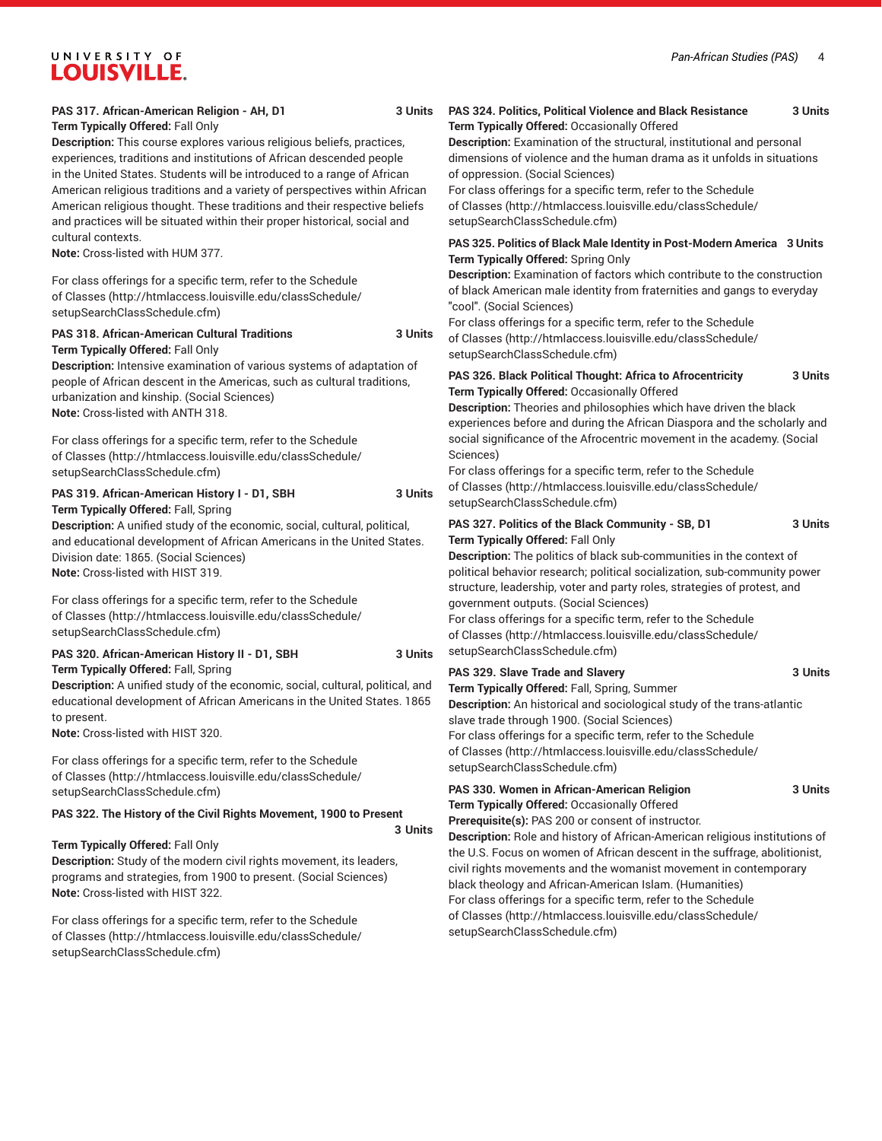#### **PAS 317. African-American Religion - AH, D1 3 Units Term Typically Offered:** Fall Only

**Description:** This course explores various religious beliefs, practices, experiences, traditions and institutions of African descended people in the United States. Students will be introduced to a range of African American religious traditions and a variety of perspectives within African American religious thought. These traditions and their respective beliefs and practices will be situated within their proper historical, social and cultural contexts.

**Note:** Cross-listed with HUM 377.

For class offerings for a specific term, refer to the [Schedule](http://htmlaccess.louisville.edu/classSchedule/setupSearchClassSchedule.cfm) [of Classes \(http://htmlaccess.louisville.edu/classSchedule/](http://htmlaccess.louisville.edu/classSchedule/setupSearchClassSchedule.cfm) [setupSearchClassSchedule.cfm\)](http://htmlaccess.louisville.edu/classSchedule/setupSearchClassSchedule.cfm)

#### **PAS 318. African-American Cultural Traditions 3 Units Term Typically Offered:** Fall Only

**Description:** Intensive examination of various systems of adaptation of people of African descent in the Americas, such as cultural traditions, urbanization and kinship. (Social Sciences) **Note:** Cross-listed with ANTH 318.

For class offerings for a specific term, refer to the [Schedule](http://htmlaccess.louisville.edu/classSchedule/setupSearchClassSchedule.cfm) [of Classes \(http://htmlaccess.louisville.edu/classSchedule/](http://htmlaccess.louisville.edu/classSchedule/setupSearchClassSchedule.cfm) [setupSearchClassSchedule.cfm\)](http://htmlaccess.louisville.edu/classSchedule/setupSearchClassSchedule.cfm)

**PAS 319. African-American History I - D1, SBH 3 Units Term Typically Offered:** Fall, Spring

**Description:** A unified study of the economic, social, cultural, political, and educational development of African Americans in the United States. Division date: 1865. (Social Sciences) **Note:** Cross-listed with HIST 319.

For class offerings for a specific term, refer to the [Schedule](http://htmlaccess.louisville.edu/classSchedule/setupSearchClassSchedule.cfm) [of Classes \(http://htmlaccess.louisville.edu/classSchedule/](http://htmlaccess.louisville.edu/classSchedule/setupSearchClassSchedule.cfm) [setupSearchClassSchedule.cfm\)](http://htmlaccess.louisville.edu/classSchedule/setupSearchClassSchedule.cfm)

#### **PAS 320. African-American History II - D1, SBH 3 Units**

**Term Typically Offered:** Fall, Spring

**Description:** A unified study of the economic, social, cultural, political, and educational development of African Americans in the United States. 1865 to present.

**Note:** Cross-listed with HIST 320.

For class offerings for a specific term, refer to the [Schedule](http://htmlaccess.louisville.edu/classSchedule/setupSearchClassSchedule.cfm) [of Classes \(http://htmlaccess.louisville.edu/classSchedule/](http://htmlaccess.louisville.edu/classSchedule/setupSearchClassSchedule.cfm) [setupSearchClassSchedule.cfm\)](http://htmlaccess.louisville.edu/classSchedule/setupSearchClassSchedule.cfm)

#### **PAS 322. The History of the Civil Rights Movement, 1900 to Present**

**Term Typically Offered:** Fall Only

**Description:** Study of the modern civil rights movement, its leaders, programs and strategies, from 1900 to present. (Social Sciences) **Note:** Cross-listed with HIST 322.

For class offerings for a specific term, refer to the [Schedule](http://htmlaccess.louisville.edu/classSchedule/setupSearchClassSchedule.cfm) [of Classes \(http://htmlaccess.louisville.edu/classSchedule/](http://htmlaccess.louisville.edu/classSchedule/setupSearchClassSchedule.cfm) [setupSearchClassSchedule.cfm\)](http://htmlaccess.louisville.edu/classSchedule/setupSearchClassSchedule.cfm)

#### **PAS 324. Politics, Political Violence and Black Resistance 3 Units Term Typically Offered:** Occasionally Offered

**Description:** Examination of the structural, institutional and personal dimensions of violence and the human drama as it unfolds in situations of oppression. (Social Sciences)

For class offerings for a specific term, refer to the [Schedule](http://htmlaccess.louisville.edu/classSchedule/setupSearchClassSchedule.cfm) [of Classes](http://htmlaccess.louisville.edu/classSchedule/setupSearchClassSchedule.cfm) ([http://htmlaccess.louisville.edu/classSchedule/](http://htmlaccess.louisville.edu/classSchedule/setupSearchClassSchedule.cfm) [setupSearchClassSchedule.cfm\)](http://htmlaccess.louisville.edu/classSchedule/setupSearchClassSchedule.cfm)

#### **PAS 325. Politics of Black Male Identity in Post-Modern America 3 Units Term Typically Offered:** Spring Only

**Description:** Examination of factors which contribute to the construction of black American male identity from fraternities and gangs to everyday "cool". (Social Sciences)

For class offerings for a specific term, refer to the [Schedule](http://htmlaccess.louisville.edu/classSchedule/setupSearchClassSchedule.cfm) [of Classes](http://htmlaccess.louisville.edu/classSchedule/setupSearchClassSchedule.cfm) ([http://htmlaccess.louisville.edu/classSchedule/](http://htmlaccess.louisville.edu/classSchedule/setupSearchClassSchedule.cfm) [setupSearchClassSchedule.cfm\)](http://htmlaccess.louisville.edu/classSchedule/setupSearchClassSchedule.cfm)

#### **PAS 326. Black Political Thought: Africa to Afrocentricity 3 Units Term Typically Offered:** Occasionally Offered

**Description:** Theories and philosophies which have driven the black experiences before and during the African Diaspora and the scholarly and social significance of the Afrocentric movement in the academy. (Social Sciences)

For class offerings for a specific term, refer to the [Schedule](http://htmlaccess.louisville.edu/classSchedule/setupSearchClassSchedule.cfm) [of Classes](http://htmlaccess.louisville.edu/classSchedule/setupSearchClassSchedule.cfm) ([http://htmlaccess.louisville.edu/classSchedule/](http://htmlaccess.louisville.edu/classSchedule/setupSearchClassSchedule.cfm) [setupSearchClassSchedule.cfm\)](http://htmlaccess.louisville.edu/classSchedule/setupSearchClassSchedule.cfm)

#### **PAS 327. Politics of the Black Community - SB, D1 3 Units Term Typically Offered:** Fall Only

**Description:** The politics of black sub-communities in the context of political behavior research; political socialization, sub-community power structure, leadership, voter and party roles, strategies of protest, and government outputs. (Social Sciences)

For class offerings for a specific term, refer to the [Schedule](http://htmlaccess.louisville.edu/classSchedule/setupSearchClassSchedule.cfm) [of Classes](http://htmlaccess.louisville.edu/classSchedule/setupSearchClassSchedule.cfm) ([http://htmlaccess.louisville.edu/classSchedule/](http://htmlaccess.louisville.edu/classSchedule/setupSearchClassSchedule.cfm) [setupSearchClassSchedule.cfm\)](http://htmlaccess.louisville.edu/classSchedule/setupSearchClassSchedule.cfm)

#### **PAS 329. Slave Trade and Slavery 3 Units**

**3 Units**

**Term Typically Offered:** Fall, Spring, Summer **Description:** An historical and sociological study of the trans-atlantic slave trade through 1900. (Social Sciences) For class offerings for a specific term, refer to the [Schedule](http://htmlaccess.louisville.edu/classSchedule/setupSearchClassSchedule.cfm)

[of Classes](http://htmlaccess.louisville.edu/classSchedule/setupSearchClassSchedule.cfm) ([http://htmlaccess.louisville.edu/classSchedule/](http://htmlaccess.louisville.edu/classSchedule/setupSearchClassSchedule.cfm) [setupSearchClassSchedule.cfm\)](http://htmlaccess.louisville.edu/classSchedule/setupSearchClassSchedule.cfm)

**PAS 330. Women in African-American Religion 3 Units Term Typically Offered:** Occasionally Offered

**Prerequisite(s):** PAS 200 or consent of instructor.

**Description:** Role and history of African-American religious institutions of the U.S. Focus on women of African descent in the suffrage, abolitionist, civil rights movements and the womanist movement in contemporary black theology and African-American Islam. (Humanities) For class offerings for a specific term, refer to the [Schedule](http://htmlaccess.louisville.edu/classSchedule/setupSearchClassSchedule.cfm) [of Classes](http://htmlaccess.louisville.edu/classSchedule/setupSearchClassSchedule.cfm) ([http://htmlaccess.louisville.edu/classSchedule/](http://htmlaccess.louisville.edu/classSchedule/setupSearchClassSchedule.cfm) [setupSearchClassSchedule.cfm\)](http://htmlaccess.louisville.edu/classSchedule/setupSearchClassSchedule.cfm)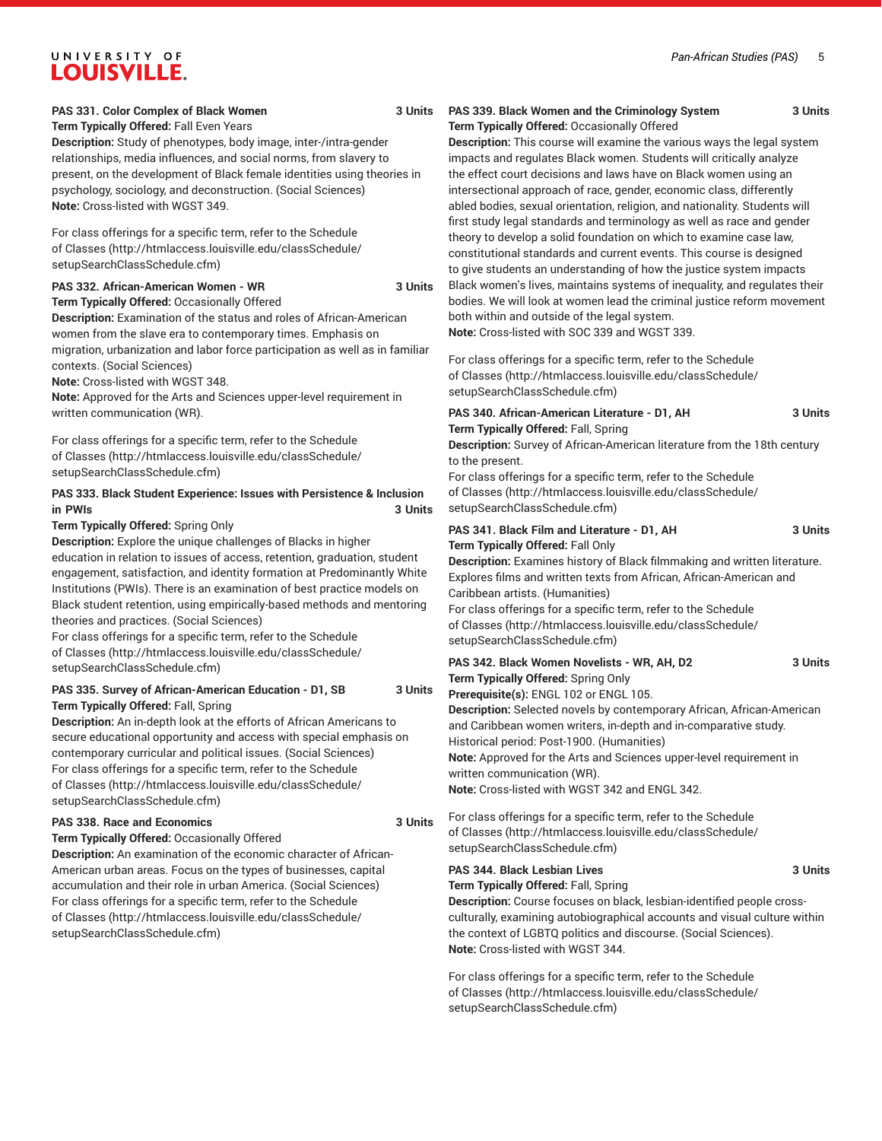#### **PAS 331. Color Complex of Black Women 3 Units**

**Term Typically Offered:** Fall Even Years **Description:** Study of phenotypes, body image, inter-/intra-gender relationships, media influences, and social norms, from slavery to present, on the development of Black female identities using theories in psychology, sociology, and deconstruction. (Social Sciences) **Note:** Cross-listed with WGST 349.

For class offerings for a specific term, refer to the [Schedule](http://htmlaccess.louisville.edu/classSchedule/setupSearchClassSchedule.cfm) [of Classes \(http://htmlaccess.louisville.edu/classSchedule/](http://htmlaccess.louisville.edu/classSchedule/setupSearchClassSchedule.cfm) [setupSearchClassSchedule.cfm\)](http://htmlaccess.louisville.edu/classSchedule/setupSearchClassSchedule.cfm)

#### **PAS 332. African-American Women - WR 3 Units**

**Term Typically Offered:** Occasionally Offered **Description:** Examination of the status and roles of African-American women from the slave era to contemporary times. Emphasis on migration, urbanization and labor force participation as well as in familiar contexts. (Social Sciences)

**Note:** Cross-listed with WGST 348.

**Note:** Approved for the Arts and Sciences upper-level requirement in written communication (WR).

For class offerings for a specific term, refer to the [Schedule](http://htmlaccess.louisville.edu/classSchedule/setupSearchClassSchedule.cfm) [of Classes \(http://htmlaccess.louisville.edu/classSchedule/](http://htmlaccess.louisville.edu/classSchedule/setupSearchClassSchedule.cfm) [setupSearchClassSchedule.cfm\)](http://htmlaccess.louisville.edu/classSchedule/setupSearchClassSchedule.cfm)

#### **PAS 333. Black Student Experience: Issues with Persistence & Inclusion in PWIs 3 Units**

#### **Term Typically Offered:** Spring Only

**Description:** Explore the unique challenges of Blacks in higher education in relation to issues of access, retention, graduation, student engagement, satisfaction, and identity formation at Predominantly White Institutions (PWIs). There is an examination of best practice models on Black student retention, using empirically-based methods and mentoring theories and practices. (Social Sciences)

For class offerings for a specific term, refer to the [Schedule](http://htmlaccess.louisville.edu/classSchedule/setupSearchClassSchedule.cfm) [of Classes \(http://htmlaccess.louisville.edu/classSchedule/](http://htmlaccess.louisville.edu/classSchedule/setupSearchClassSchedule.cfm) [setupSearchClassSchedule.cfm\)](http://htmlaccess.louisville.edu/classSchedule/setupSearchClassSchedule.cfm)

#### **PAS 335. Survey of African-American Education - D1, SB 3 Units Term Typically Offered:** Fall, Spring

**Description:** An in-depth look at the efforts of African Americans to secure educational opportunity and access with special emphasis on contemporary curricular and political issues. (Social Sciences) For class offerings for a specific term, refer to the [Schedule](http://htmlaccess.louisville.edu/classSchedule/setupSearchClassSchedule.cfm) [of Classes \(http://htmlaccess.louisville.edu/classSchedule/](http://htmlaccess.louisville.edu/classSchedule/setupSearchClassSchedule.cfm) [setupSearchClassSchedule.cfm\)](http://htmlaccess.louisville.edu/classSchedule/setupSearchClassSchedule.cfm)

#### **PAS 338. Race and Economics 3 Units**

**Term Typically Offered:** Occasionally Offered

**Description:** An examination of the economic character of African-American urban areas. Focus on the types of businesses, capital accumulation and their role in urban America. (Social Sciences) For class offerings for a specific term, refer to the [Schedule](http://htmlaccess.louisville.edu/classSchedule/setupSearchClassSchedule.cfm) [of Classes \(http://htmlaccess.louisville.edu/classSchedule/](http://htmlaccess.louisville.edu/classSchedule/setupSearchClassSchedule.cfm) [setupSearchClassSchedule.cfm\)](http://htmlaccess.louisville.edu/classSchedule/setupSearchClassSchedule.cfm)

#### **PAS 339. Black Women and the Criminology System 3 Units Term Typically Offered:** Occasionally Offered

**Description:** This course will examine the various ways the legal system impacts and regulates Black women. Students will critically analyze the effect court decisions and laws have on Black women using an intersectional approach of race, gender, economic class, differently abled bodies, sexual orientation, religion, and nationality. Students will first study legal standards and terminology as well as race and gender theory to develop a solid foundation on which to examine case law, constitutional standards and current events. This course is designed to give students an understanding of how the justice system impacts Black women's lives, maintains systems of inequality, and regulates their bodies. We will look at women lead the criminal justice reform movement both within and outside of the legal system. **Note:** Cross-listed with SOC 339 and WGST 339.

For class offerings for a specific term, refer to the [Schedule](http://htmlaccess.louisville.edu/classSchedule/setupSearchClassSchedule.cfm) [of Classes](http://htmlaccess.louisville.edu/classSchedule/setupSearchClassSchedule.cfm) ([http://htmlaccess.louisville.edu/classSchedule/](http://htmlaccess.louisville.edu/classSchedule/setupSearchClassSchedule.cfm) [setupSearchClassSchedule.cfm\)](http://htmlaccess.louisville.edu/classSchedule/setupSearchClassSchedule.cfm)

# **PAS 340. African-American Literature - D1, AH 3 Units Term Typically Offered:** Fall, Spring

**Description:** Survey of African-American literature from the 18th century to the present.

For class offerings for a specific term, refer to the [Schedule](http://htmlaccess.louisville.edu/classSchedule/setupSearchClassSchedule.cfm) [of Classes](http://htmlaccess.louisville.edu/classSchedule/setupSearchClassSchedule.cfm) ([http://htmlaccess.louisville.edu/classSchedule/](http://htmlaccess.louisville.edu/classSchedule/setupSearchClassSchedule.cfm) [setupSearchClassSchedule.cfm\)](http://htmlaccess.louisville.edu/classSchedule/setupSearchClassSchedule.cfm)

#### **PAS 341. Black Film and Literature - D1, AH 3 Units Term Typically Offered:** Fall Only **Description:** Examines history of Black filmmaking and written literature. Explores films and written texts from African, African-American and Caribbean artists. (Humanities) For class offerings for a specific term, refer to the [Schedule](http://htmlaccess.louisville.edu/classSchedule/setupSearchClassSchedule.cfm) [of Classes](http://htmlaccess.louisville.edu/classSchedule/setupSearchClassSchedule.cfm) ([http://htmlaccess.louisville.edu/classSchedule/](http://htmlaccess.louisville.edu/classSchedule/setupSearchClassSchedule.cfm) [setupSearchClassSchedule.cfm\)](http://htmlaccess.louisville.edu/classSchedule/setupSearchClassSchedule.cfm) **PAS 342. Black Women Novelists - WR, AH, D2 3 Units Term Typically Offered:** Spring Only **Prerequisite(s):** ENGL 102 or ENGL 105. **Description:** Selected novels by contemporary African, African-American and Caribbean women writers, in-depth and in-comparative study. Historical period: Post-1900. (Humanities) **Note:** Approved for the Arts and Sciences upper-level requirement in written communication (WR).

**Note:** Cross-listed with WGST 342 and ENGL 342.

For class offerings for a specific term, refer to the [Schedule](http://htmlaccess.louisville.edu/classSchedule/setupSearchClassSchedule.cfm) [of Classes](http://htmlaccess.louisville.edu/classSchedule/setupSearchClassSchedule.cfm) ([http://htmlaccess.louisville.edu/classSchedule/](http://htmlaccess.louisville.edu/classSchedule/setupSearchClassSchedule.cfm) [setupSearchClassSchedule.cfm\)](http://htmlaccess.louisville.edu/classSchedule/setupSearchClassSchedule.cfm)

#### **PAS 344. Black Lesbian Lives 3 Units**

**Term Typically Offered:** Fall, Spring

**Description:** Course focuses on black, lesbian-identified people crossculturally, examining autobiographical accounts and visual culture within the context of LGBTQ politics and discourse. (Social Sciences). **Note:** Cross-listed with WGST 344.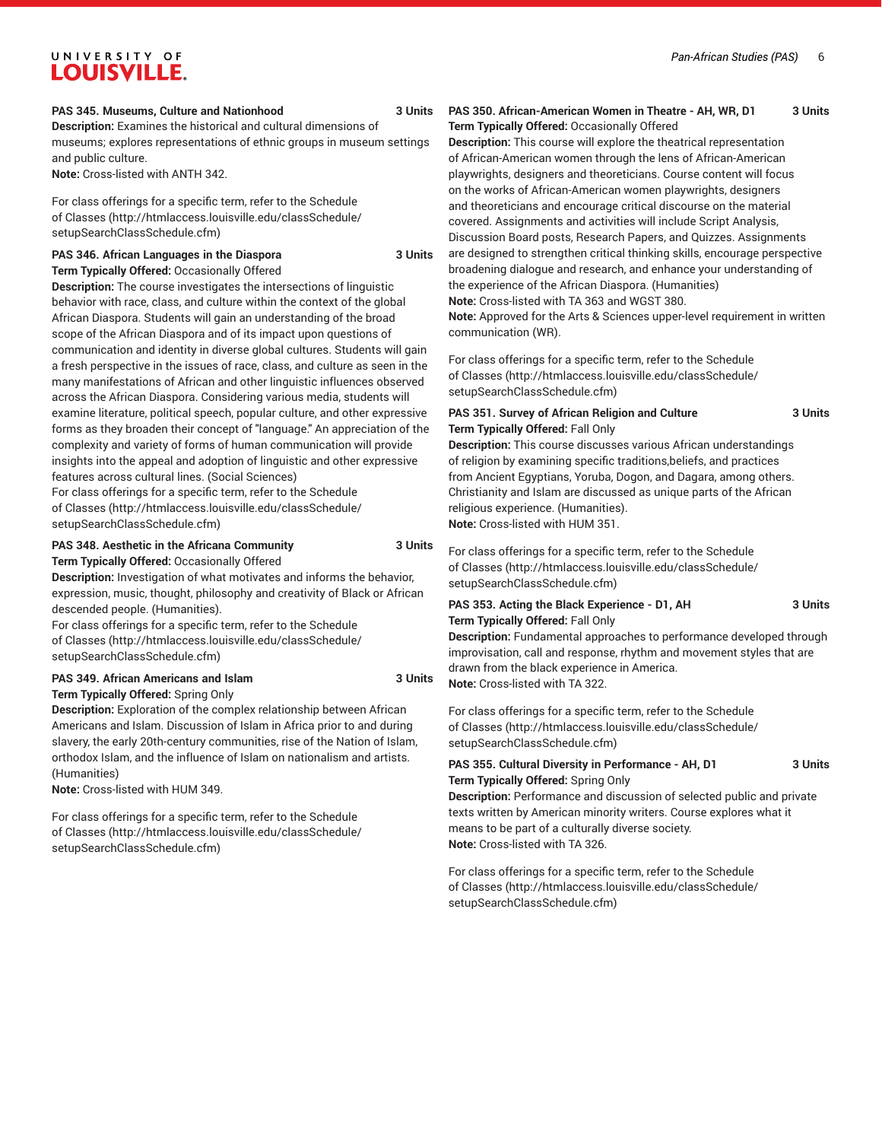#### **PAS 345. Museums, Culture and Nationhood 3 Units**

**Description:** Examines the historical and cultural dimensions of museums; explores representations of ethnic groups in museum settings and public culture.

**Note:** Cross-listed with ANTH 342.

For class offerings for a specific term, refer to the [Schedule](http://htmlaccess.louisville.edu/classSchedule/setupSearchClassSchedule.cfm) [of Classes \(http://htmlaccess.louisville.edu/classSchedule/](http://htmlaccess.louisville.edu/classSchedule/setupSearchClassSchedule.cfm) [setupSearchClassSchedule.cfm\)](http://htmlaccess.louisville.edu/classSchedule/setupSearchClassSchedule.cfm)

#### **PAS 346. African Languages in the Diaspora 3 Units Term Typically Offered:** Occasionally Offered

**Description:** The course investigates the intersections of linguistic behavior with race, class, and culture within the context of the global African Diaspora. Students will gain an understanding of the broad scope of the African Diaspora and of its impact upon questions of communication and identity in diverse global cultures. Students will gain a fresh perspective in the issues of race, class, and culture as seen in the many manifestations of African and other linguistic influences observed across the African Diaspora. Considering various media, students will examine literature, political speech, popular culture, and other expressive forms as they broaden their concept of "language." An appreciation of the complexity and variety of forms of human communication will provide insights into the appeal and adoption of linguistic and other expressive features across cultural lines. (Social Sciences)

For class offerings for a specific term, refer to the [Schedule](http://htmlaccess.louisville.edu/classSchedule/setupSearchClassSchedule.cfm) [of Classes \(http://htmlaccess.louisville.edu/classSchedule/](http://htmlaccess.louisville.edu/classSchedule/setupSearchClassSchedule.cfm) [setupSearchClassSchedule.cfm\)](http://htmlaccess.louisville.edu/classSchedule/setupSearchClassSchedule.cfm)

#### **PAS 348. Aesthetic in the Africana Community 3 Units Term Typically Offered:** Occasionally Offered

**Description:** Investigation of what motivates and informs the behavior, expression, music, thought, philosophy and creativity of Black or African descended people. (Humanities).

For class offerings for a specific term, refer to the [Schedule](http://htmlaccess.louisville.edu/classSchedule/setupSearchClassSchedule.cfm) [of Classes \(http://htmlaccess.louisville.edu/classSchedule/](http://htmlaccess.louisville.edu/classSchedule/setupSearchClassSchedule.cfm) [setupSearchClassSchedule.cfm\)](http://htmlaccess.louisville.edu/classSchedule/setupSearchClassSchedule.cfm)

# **PAS 349. African Americans and Islam 3 Units**

# **Term Typically Offered:** Spring Only

**Description:** Exploration of the complex relationship between African Americans and Islam. Discussion of Islam in Africa prior to and during slavery, the early 20th-century communities, rise of the Nation of Islam, orthodox Islam, and the influence of Islam on nationalism and artists. (Humanities)

**Note:** Cross-listed with HUM 349.

For class offerings for a specific term, refer to the [Schedule](http://htmlaccess.louisville.edu/classSchedule/setupSearchClassSchedule.cfm) [of Classes \(http://htmlaccess.louisville.edu/classSchedule/](http://htmlaccess.louisville.edu/classSchedule/setupSearchClassSchedule.cfm) [setupSearchClassSchedule.cfm\)](http://htmlaccess.louisville.edu/classSchedule/setupSearchClassSchedule.cfm)

#### **PAS 350. African-American Women in Theatre - AH, WR, D1 3 Units Term Typically Offered:** Occasionally Offered

**Description:** This course will explore the theatrical representation of African-American women through the lens of African-American playwrights, designers and theoreticians. Course content will focus on the works of African-American women playwrights, designers and theoreticians and encourage critical discourse on the material covered. Assignments and activities will include Script Analysis, Discussion Board posts, Research Papers, and Quizzes. Assignments are designed to strengthen critical thinking skills, encourage perspective broadening dialogue and research, and enhance your understanding of the experience of the African Diaspora. (Humanities) **Note:** Cross-listed with TA 363 and WGST 380.

**Note:** Approved for the Arts & Sciences upper-level requirement in written communication (WR).

For class offerings for a specific term, refer to the [Schedule](http://htmlaccess.louisville.edu/classSchedule/setupSearchClassSchedule.cfm) [of Classes](http://htmlaccess.louisville.edu/classSchedule/setupSearchClassSchedule.cfm) ([http://htmlaccess.louisville.edu/classSchedule/](http://htmlaccess.louisville.edu/classSchedule/setupSearchClassSchedule.cfm) [setupSearchClassSchedule.cfm\)](http://htmlaccess.louisville.edu/classSchedule/setupSearchClassSchedule.cfm)

#### **PAS 351. Survey of African Religion and Culture 3 Units Term Typically Offered:** Fall Only

**Description:** This course discusses various African understandings of religion by examining specific traditions,beliefs, and practices from Ancient Egyptians, Yoruba, Dogon, and Dagara, among others. Christianity and Islam are discussed as unique parts of the African religious experience. (Humanities). **Note:** Cross-listed with HUM 351.

For class offerings for a specific term, refer to the [Schedule](http://htmlaccess.louisville.edu/classSchedule/setupSearchClassSchedule.cfm) [of Classes](http://htmlaccess.louisville.edu/classSchedule/setupSearchClassSchedule.cfm) ([http://htmlaccess.louisville.edu/classSchedule/](http://htmlaccess.louisville.edu/classSchedule/setupSearchClassSchedule.cfm) [setupSearchClassSchedule.cfm\)](http://htmlaccess.louisville.edu/classSchedule/setupSearchClassSchedule.cfm)

#### **PAS 353. Acting the Black Experience - D1, AH 3 Units Term Typically Offered:** Fall Only

**Description:** Fundamental approaches to performance developed through improvisation, call and response, rhythm and movement styles that are drawn from the black experience in America. **Note:** Cross-listed with TA 322.

For class offerings for a specific term, refer to the [Schedule](http://htmlaccess.louisville.edu/classSchedule/setupSearchClassSchedule.cfm) [of Classes](http://htmlaccess.louisville.edu/classSchedule/setupSearchClassSchedule.cfm) ([http://htmlaccess.louisville.edu/classSchedule/](http://htmlaccess.louisville.edu/classSchedule/setupSearchClassSchedule.cfm) [setupSearchClassSchedule.cfm\)](http://htmlaccess.louisville.edu/classSchedule/setupSearchClassSchedule.cfm)

#### **PAS 355. Cultural Diversity in Performance - AH, D1 3 Units Term Typically Offered:** Spring Only

**Description:** Performance and discussion of selected public and private texts written by American minority writers. Course explores what it means to be part of a culturally diverse society. **Note:** Cross-listed with TA 326.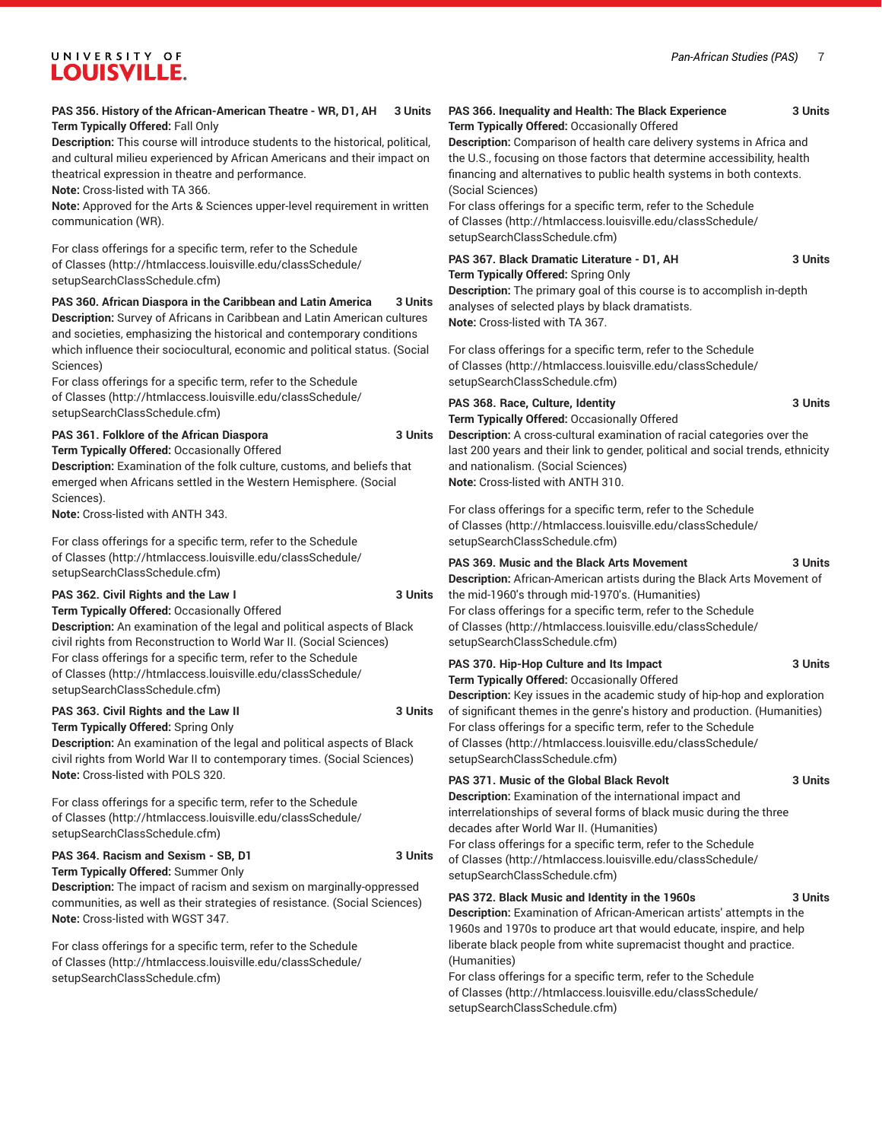#### **PAS 356. History of the African-American Theatre - WR, D1, AH 3 Units Term Typically Offered:** Fall Only

**Description:** This course will introduce students to the historical, political, and cultural milieu experienced by African Americans and their impact on theatrical expression in theatre and performance.

**Note:** Cross-listed with TA 366.

**Note:** Approved for the Arts & Sciences upper-level requirement in written communication (WR).

For class offerings for a specific term, refer to the [Schedule](http://htmlaccess.louisville.edu/classSchedule/setupSearchClassSchedule.cfm) [of Classes \(http://htmlaccess.louisville.edu/classSchedule/](http://htmlaccess.louisville.edu/classSchedule/setupSearchClassSchedule.cfm) [setupSearchClassSchedule.cfm\)](http://htmlaccess.louisville.edu/classSchedule/setupSearchClassSchedule.cfm)

**PAS 360. African Diaspora in the Caribbean and Latin America 3 Units Description:** Survey of Africans in Caribbean and Latin American cultures and societies, emphasizing the historical and contemporary conditions which influence their sociocultural, economic and political status. (Social Sciences)

For class offerings for a specific term, refer to the [Schedule](http://htmlaccess.louisville.edu/classSchedule/setupSearchClassSchedule.cfm) [of Classes \(http://htmlaccess.louisville.edu/classSchedule/](http://htmlaccess.louisville.edu/classSchedule/setupSearchClassSchedule.cfm) [setupSearchClassSchedule.cfm\)](http://htmlaccess.louisville.edu/classSchedule/setupSearchClassSchedule.cfm)

#### **PAS 361. Folklore of the African Diaspora 3 Units**

**Term Typically Offered:** Occasionally Offered

**Description:** Examination of the folk culture, customs, and beliefs that emerged when Africans settled in the Western Hemisphere. (Social Sciences).

**Note:** Cross-listed with ANTH 343.

For class offerings for a specific term, refer to the [Schedule](http://htmlaccess.louisville.edu/classSchedule/setupSearchClassSchedule.cfm) [of Classes \(http://htmlaccess.louisville.edu/classSchedule/](http://htmlaccess.louisville.edu/classSchedule/setupSearchClassSchedule.cfm) [setupSearchClassSchedule.cfm\)](http://htmlaccess.louisville.edu/classSchedule/setupSearchClassSchedule.cfm)

# **PAS 362. Civil Rights and the Law I 3 Units**

**Term Typically Offered:** Occasionally Offered **Description:** An examination of the legal and political aspects of Black civil rights from Reconstruction to World War II. (Social Sciences) For class offerings for a specific term, refer to the [Schedule](http://htmlaccess.louisville.edu/classSchedule/setupSearchClassSchedule.cfm) [of Classes \(http://htmlaccess.louisville.edu/classSchedule/](http://htmlaccess.louisville.edu/classSchedule/setupSearchClassSchedule.cfm) [setupSearchClassSchedule.cfm\)](http://htmlaccess.louisville.edu/classSchedule/setupSearchClassSchedule.cfm)

**PAS 363. Civil Rights and the Law II 3 Units Term Typically Offered:** Spring Only

**Description:** An examination of the legal and political aspects of Black civil rights from World War II to contemporary times. (Social Sciences) **Note:** Cross-listed with POLS 320.

For class offerings for a specific term, refer to the [Schedule](http://htmlaccess.louisville.edu/classSchedule/setupSearchClassSchedule.cfm) [of Classes \(http://htmlaccess.louisville.edu/classSchedule/](http://htmlaccess.louisville.edu/classSchedule/setupSearchClassSchedule.cfm) [setupSearchClassSchedule.cfm\)](http://htmlaccess.louisville.edu/classSchedule/setupSearchClassSchedule.cfm)

### **PAS 364. Racism and Sexism - SB, D1 3 Units Term Typically Offered:** Summer Only

**Description:** The impact of racism and sexism on marginally-oppressed communities, as well as their strategies of resistance. (Social Sciences) **Note:** Cross-listed with WGST 347.

For class offerings for a specific term, refer to the [Schedule](http://htmlaccess.louisville.edu/classSchedule/setupSearchClassSchedule.cfm) [of Classes \(http://htmlaccess.louisville.edu/classSchedule/](http://htmlaccess.louisville.edu/classSchedule/setupSearchClassSchedule.cfm) [setupSearchClassSchedule.cfm\)](http://htmlaccess.louisville.edu/classSchedule/setupSearchClassSchedule.cfm)

#### **PAS 366. Inequality and Health: The Black Experience 3 Units Term Typically Offered:** Occasionally Offered

**Description:** Comparison of health care delivery systems in Africa and the U.S., focusing on those factors that determine accessibility, health financing and alternatives to public health systems in both contexts. (Social Sciences)

For class offerings for a specific term, refer to the [Schedule](http://htmlaccess.louisville.edu/classSchedule/setupSearchClassSchedule.cfm) [of Classes](http://htmlaccess.louisville.edu/classSchedule/setupSearchClassSchedule.cfm) ([http://htmlaccess.louisville.edu/classSchedule/](http://htmlaccess.louisville.edu/classSchedule/setupSearchClassSchedule.cfm) [setupSearchClassSchedule.cfm\)](http://htmlaccess.louisville.edu/classSchedule/setupSearchClassSchedule.cfm)

#### **PAS 367. Black Dramatic Literature - D1, AH 3 Units Term Typically Offered:** Spring Only

**Description:** The primary goal of this course is to accomplish in-depth analyses of selected plays by black dramatists. **Note:** Cross-listed with TA 367.

For class offerings for a specific term, refer to the [Schedule](http://htmlaccess.louisville.edu/classSchedule/setupSearchClassSchedule.cfm) [of Classes](http://htmlaccess.louisville.edu/classSchedule/setupSearchClassSchedule.cfm) ([http://htmlaccess.louisville.edu/classSchedule/](http://htmlaccess.louisville.edu/classSchedule/setupSearchClassSchedule.cfm) [setupSearchClassSchedule.cfm\)](http://htmlaccess.louisville.edu/classSchedule/setupSearchClassSchedule.cfm)

#### **PAS 368. Race, Culture, Identity 3 Units**

**Term Typically Offered:** Occasionally Offered

**Description:** A cross-cultural examination of racial categories over the last 200 years and their link to gender, political and social trends, ethnicity and nationalism. (Social Sciences) **Note:** Cross-listed with ANTH 310.

For class offerings for a specific term, refer to the [Schedule](http://htmlaccess.louisville.edu/classSchedule/setupSearchClassSchedule.cfm) [of Classes](http://htmlaccess.louisville.edu/classSchedule/setupSearchClassSchedule.cfm) ([http://htmlaccess.louisville.edu/classSchedule/](http://htmlaccess.louisville.edu/classSchedule/setupSearchClassSchedule.cfm) [setupSearchClassSchedule.cfm\)](http://htmlaccess.louisville.edu/classSchedule/setupSearchClassSchedule.cfm)

#### **PAS 369. Music and the Black Arts Movement 3 Units**

**Description:** African-American artists during the Black Arts Movement of the mid-1960's through mid-1970's. (Humanities)

For class offerings for a specific term, refer to the [Schedule](http://htmlaccess.louisville.edu/classSchedule/setupSearchClassSchedule.cfm) [of Classes](http://htmlaccess.louisville.edu/classSchedule/setupSearchClassSchedule.cfm) ([http://htmlaccess.louisville.edu/classSchedule/](http://htmlaccess.louisville.edu/classSchedule/setupSearchClassSchedule.cfm) [setupSearchClassSchedule.cfm\)](http://htmlaccess.louisville.edu/classSchedule/setupSearchClassSchedule.cfm)

# **PAS 370. Hip-Hop Culture and Its Impact 3 Units**

**Term Typically Offered:** Occasionally Offered **Description:** Key issues in the academic study of hip-hop and exploration

of significant themes in the genre's history and production. (Humanities) For class offerings for a specific term, refer to the [Schedule](http://htmlaccess.louisville.edu/classSchedule/setupSearchClassSchedule.cfm) [of Classes](http://htmlaccess.louisville.edu/classSchedule/setupSearchClassSchedule.cfm) ([http://htmlaccess.louisville.edu/classSchedule/](http://htmlaccess.louisville.edu/classSchedule/setupSearchClassSchedule.cfm) [setupSearchClassSchedule.cfm\)](http://htmlaccess.louisville.edu/classSchedule/setupSearchClassSchedule.cfm)

#### **PAS 371. Music of the Global Black Revolt 3 Units**

**Description:** Examination of the international impact and interrelationships of several forms of black music during the three decades after World War II. (Humanities)

For class offerings for a specific term, refer to the [Schedule](http://htmlaccess.louisville.edu/classSchedule/setupSearchClassSchedule.cfm) [of Classes](http://htmlaccess.louisville.edu/classSchedule/setupSearchClassSchedule.cfm) ([http://htmlaccess.louisville.edu/classSchedule/](http://htmlaccess.louisville.edu/classSchedule/setupSearchClassSchedule.cfm) [setupSearchClassSchedule.cfm\)](http://htmlaccess.louisville.edu/classSchedule/setupSearchClassSchedule.cfm)

#### **PAS 372. Black Music and Identity in the 1960s 3 Units**

**Description:** Examination of African-American artists' attempts in the 1960s and 1970s to produce art that would educate, inspire, and help liberate black people from white supremacist thought and practice. (Humanities)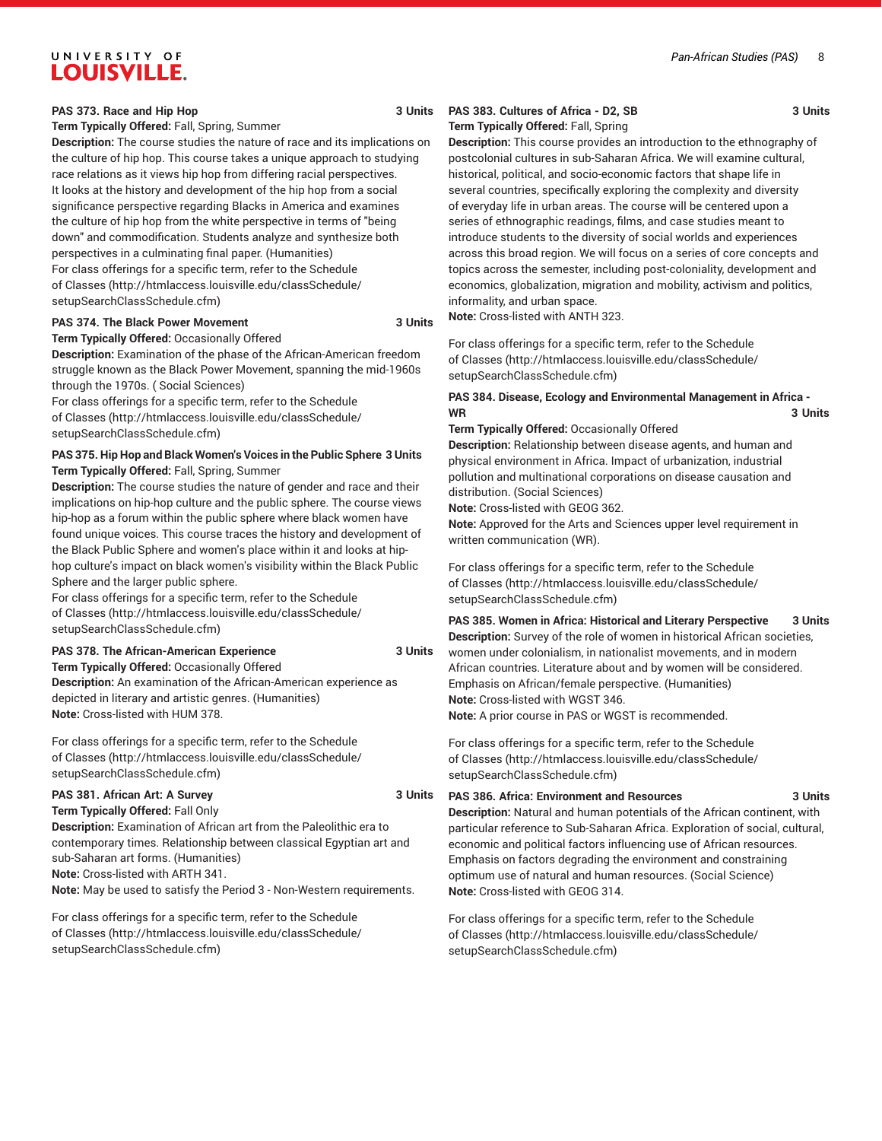#### *Pan-African Studies (PAS)* 8

# UNIVERSITY OF **LOUISVILLE.**

#### **PAS 373. Race and Hip Hop 3 Units**

**Term Typically Offered:** Fall, Spring, Summer

**Description:** The course studies the nature of race and its implications on the culture of hip hop. This course takes a unique approach to studying race relations as it views hip hop from differing racial perspectives. It looks at the history and development of the hip hop from a social significance perspective regarding Blacks in America and examines the culture of hip hop from the white perspective in terms of "being down" and commodification. Students analyze and synthesize both perspectives in a culminating final paper. (Humanities) For class offerings for a specific term, refer to the [Schedule](http://htmlaccess.louisville.edu/classSchedule/setupSearchClassSchedule.cfm) [of Classes \(http://htmlaccess.louisville.edu/classSchedule/](http://htmlaccess.louisville.edu/classSchedule/setupSearchClassSchedule.cfm) [setupSearchClassSchedule.cfm\)](http://htmlaccess.louisville.edu/classSchedule/setupSearchClassSchedule.cfm)

#### **PAS 374. The Black Power Movement 3 Units**

**Term Typically Offered:** Occasionally Offered

**Description:** Examination of the phase of the African-American freedom struggle known as the Black Power Movement, spanning the mid-1960s through the 1970s. ( Social Sciences)

For class offerings for a specific term, refer to the [Schedule](http://htmlaccess.louisville.edu/classSchedule/setupSearchClassSchedule.cfm) [of Classes \(http://htmlaccess.louisville.edu/classSchedule/](http://htmlaccess.louisville.edu/classSchedule/setupSearchClassSchedule.cfm) [setupSearchClassSchedule.cfm\)](http://htmlaccess.louisville.edu/classSchedule/setupSearchClassSchedule.cfm)

#### **PAS 375. Hip Hop and Black Women's Voices in the Public Sphere 3 Units Term Typically Offered:** Fall, Spring, Summer

**Description:** The course studies the nature of gender and race and their implications on hip-hop culture and the public sphere. The course views hip-hop as a forum within the public sphere where black women have found unique voices. This course traces the history and development of the Black Public Sphere and women's place within it and looks at hiphop culture's impact on black women's visibility within the Black Public Sphere and the larger public sphere.

For class offerings for a specific term, refer to the [Schedule](http://htmlaccess.louisville.edu/classSchedule/setupSearchClassSchedule.cfm) [of Classes \(http://htmlaccess.louisville.edu/classSchedule/](http://htmlaccess.louisville.edu/classSchedule/setupSearchClassSchedule.cfm) [setupSearchClassSchedule.cfm\)](http://htmlaccess.louisville.edu/classSchedule/setupSearchClassSchedule.cfm)

#### **PAS 378. The African-American Experience 3 Units**

**Term Typically Offered:** Occasionally Offered **Description:** An examination of the African-American experience as depicted in literary and artistic genres. (Humanities) **Note:** Cross-listed with HUM 378.

For class offerings for a specific term, refer to the [Schedule](http://htmlaccess.louisville.edu/classSchedule/setupSearchClassSchedule.cfm) [of Classes \(http://htmlaccess.louisville.edu/classSchedule/](http://htmlaccess.louisville.edu/classSchedule/setupSearchClassSchedule.cfm) [setupSearchClassSchedule.cfm\)](http://htmlaccess.louisville.edu/classSchedule/setupSearchClassSchedule.cfm)

# **PAS 381. African Art: A Survey 3 Units**

**Term Typically Offered:** Fall Only **Description:** Examination of African art from the Paleolithic era to contemporary times. Relationship between classical Egyptian art and sub-Saharan art forms. (Humanities) **Note:** Cross-listed with ARTH 341. **Note:** May be used to satisfy the Period 3 - Non-Western requirements.

For class offerings for a specific term, refer to the [Schedule](http://htmlaccess.louisville.edu/classSchedule/setupSearchClassSchedule.cfm) [of Classes \(http://htmlaccess.louisville.edu/classSchedule/](http://htmlaccess.louisville.edu/classSchedule/setupSearchClassSchedule.cfm) [setupSearchClassSchedule.cfm\)](http://htmlaccess.louisville.edu/classSchedule/setupSearchClassSchedule.cfm)

#### **PAS 383. Cultures of Africa - D2, SB 3 Units Term Typically Offered:** Fall, Spring

**Description:** This course provides an introduction to the ethnography of postcolonial cultures in sub-Saharan Africa. We will examine cultural, historical, political, and socio-economic factors that shape life in several countries, specifically exploring the complexity and diversity of everyday life in urban areas. The course will be centered upon a series of ethnographic readings, films, and case studies meant to introduce students to the diversity of social worlds and experiences across this broad region. We will focus on a series of core concepts and topics across the semester, including post-coloniality, development and economics, globalization, migration and mobility, activism and politics, informality, and urban space.

**Note:** Cross-listed with ANTH 323.

For class offerings for a specific term, refer to the [Schedule](http://htmlaccess.louisville.edu/classSchedule/setupSearchClassSchedule.cfm) [of Classes](http://htmlaccess.louisville.edu/classSchedule/setupSearchClassSchedule.cfm) ([http://htmlaccess.louisville.edu/classSchedule/](http://htmlaccess.louisville.edu/classSchedule/setupSearchClassSchedule.cfm) [setupSearchClassSchedule.cfm\)](http://htmlaccess.louisville.edu/classSchedule/setupSearchClassSchedule.cfm)

#### **PAS 384. Disease, Ecology and Environmental Management in Africa - WR 3 Units**

**Term Typically Offered:** Occasionally Offered

**Description:** Relationship between disease agents, and human and physical environment in Africa. Impact of urbanization, industrial pollution and multinational corporations on disease causation and distribution. (Social Sciences)

**Note:** Cross-listed with GEOG 362.

**Note:** Approved for the Arts and Sciences upper level requirement in written communication (WR).

For class offerings for a specific term, refer to the [Schedule](http://htmlaccess.louisville.edu/classSchedule/setupSearchClassSchedule.cfm) [of Classes](http://htmlaccess.louisville.edu/classSchedule/setupSearchClassSchedule.cfm) ([http://htmlaccess.louisville.edu/classSchedule/](http://htmlaccess.louisville.edu/classSchedule/setupSearchClassSchedule.cfm) [setupSearchClassSchedule.cfm\)](http://htmlaccess.louisville.edu/classSchedule/setupSearchClassSchedule.cfm)

**PAS 385. Women in Africa: Historical and Literary Perspective 3 Units Description:** Survey of the role of women in historical African societies, women under colonialism, in nationalist movements, and in modern African countries. Literature about and by women will be considered. Emphasis on African/female perspective. (Humanities) **Note:** Cross-listed with WGST 346. **Note:** A prior course in PAS or WGST is recommended.

For class offerings for a specific term, refer to the [Schedule](http://htmlaccess.louisville.edu/classSchedule/setupSearchClassSchedule.cfm) [of Classes](http://htmlaccess.louisville.edu/classSchedule/setupSearchClassSchedule.cfm) ([http://htmlaccess.louisville.edu/classSchedule/](http://htmlaccess.louisville.edu/classSchedule/setupSearchClassSchedule.cfm) [setupSearchClassSchedule.cfm\)](http://htmlaccess.louisville.edu/classSchedule/setupSearchClassSchedule.cfm)

#### **PAS 386. Africa: Environment and Resources 3 Units**

**Description:** Natural and human potentials of the African continent, with particular reference to Sub-Saharan Africa. Exploration of social, cultural, economic and political factors influencing use of African resources. Emphasis on factors degrading the environment and constraining optimum use of natural and human resources. (Social Science) **Note:** Cross-listed with GEOG 314.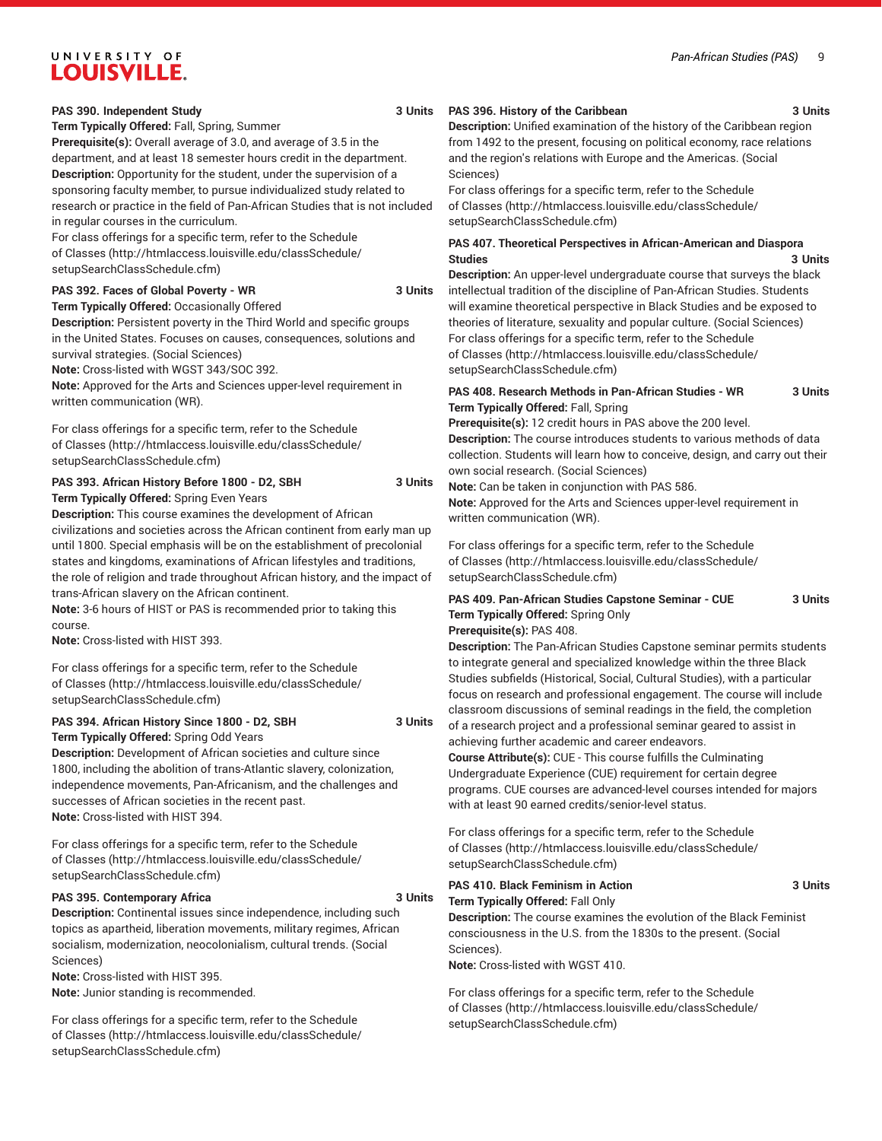#### *Pan-African Studies (PAS)* 9

# UNIVERSITY OF **LOUISVILLE.**

#### **PAS 390. Independent Study 3 Units**

**Term Typically Offered:** Fall, Spring, Summer

**Prerequisite(s):** Overall average of 3.0, and average of 3.5 in the department, and at least 18 semester hours credit in the department. **Description:** Opportunity for the student, under the supervision of a sponsoring faculty member, to pursue individualized study related to research or practice in the field of Pan-African Studies that is not included in regular courses in the curriculum.

For class offerings for a specific term, refer to the [Schedule](http://htmlaccess.louisville.edu/classSchedule/setupSearchClassSchedule.cfm) [of Classes \(http://htmlaccess.louisville.edu/classSchedule/](http://htmlaccess.louisville.edu/classSchedule/setupSearchClassSchedule.cfm) [setupSearchClassSchedule.cfm\)](http://htmlaccess.louisville.edu/classSchedule/setupSearchClassSchedule.cfm)

#### **PAS 392. Faces of Global Poverty - WR 3 Units**

**Term Typically Offered:** Occasionally Offered **Description:** Persistent poverty in the Third World and specific groups

in the United States. Focuses on causes, consequences, solutions and survival strategies. (Social Sciences)

**Note:** Cross-listed with WGST 343/SOC 392.

**Note:** Approved for the Arts and Sciences upper-level requirement in written communication (WR).

For class offerings for a specific term, refer to the [Schedule](http://htmlaccess.louisville.edu/classSchedule/setupSearchClassSchedule.cfm) [of Classes \(http://htmlaccess.louisville.edu/classSchedule/](http://htmlaccess.louisville.edu/classSchedule/setupSearchClassSchedule.cfm) [setupSearchClassSchedule.cfm\)](http://htmlaccess.louisville.edu/classSchedule/setupSearchClassSchedule.cfm)

**PAS 393. African History Before 1800 - D2, SBH 3 Units Term Typically Offered:** Spring Even Years

**Description:** This course examines the development of African civilizations and societies across the African continent from early man up until 1800. Special emphasis will be on the establishment of precolonial states and kingdoms, examinations of African lifestyles and traditions,

the role of religion and trade throughout African history, and the impact of trans-African slavery on the African continent. **Note:** 3-6 hours of HIST or PAS is recommended prior to taking this

course.

**Note:** Cross-listed with HIST 393.

For class offerings for a specific term, refer to the [Schedule](http://htmlaccess.louisville.edu/classSchedule/setupSearchClassSchedule.cfm) [of Classes \(http://htmlaccess.louisville.edu/classSchedule/](http://htmlaccess.louisville.edu/classSchedule/setupSearchClassSchedule.cfm) [setupSearchClassSchedule.cfm\)](http://htmlaccess.louisville.edu/classSchedule/setupSearchClassSchedule.cfm)

#### **PAS 394. African History Since 1800 - D2, SBH 3 Units Term Typically Offered:** Spring Odd Years

**Description:** Development of African societies and culture since 1800, including the abolition of trans-Atlantic slavery, colonization, independence movements, Pan-Africanism, and the challenges and successes of African societies in the recent past. **Note:** Cross-listed with HIST 394.

For class offerings for a specific term, refer to the [Schedule](http://htmlaccess.louisville.edu/classSchedule/setupSearchClassSchedule.cfm) [of Classes \(http://htmlaccess.louisville.edu/classSchedule/](http://htmlaccess.louisville.edu/classSchedule/setupSearchClassSchedule.cfm) [setupSearchClassSchedule.cfm\)](http://htmlaccess.louisville.edu/classSchedule/setupSearchClassSchedule.cfm)

#### **PAS 395. Contemporary Africa 3 Units**

**Description:** Continental issues since independence, including such topics as apartheid, liberation movements, military regimes, African socialism, modernization, neocolonialism, cultural trends. (Social Sciences)

**Note:** Cross-listed with HIST 395.

**Note:** Junior standing is recommended.

For class offerings for a specific term, refer to the [Schedule](http://htmlaccess.louisville.edu/classSchedule/setupSearchClassSchedule.cfm) [of Classes \(http://htmlaccess.louisville.edu/classSchedule/](http://htmlaccess.louisville.edu/classSchedule/setupSearchClassSchedule.cfm) [setupSearchClassSchedule.cfm\)](http://htmlaccess.louisville.edu/classSchedule/setupSearchClassSchedule.cfm)

#### **PAS 396. History of the Caribbean 3 Units**

**Description:** Unified examination of the history of the Caribbean region from 1492 to the present, focusing on political economy, race relations and the region's relations with Europe and the Americas. (Social Sciences)

For class offerings for a specific term, refer to the [Schedule](http://htmlaccess.louisville.edu/classSchedule/setupSearchClassSchedule.cfm) [of Classes](http://htmlaccess.louisville.edu/classSchedule/setupSearchClassSchedule.cfm) ([http://htmlaccess.louisville.edu/classSchedule/](http://htmlaccess.louisville.edu/classSchedule/setupSearchClassSchedule.cfm) [setupSearchClassSchedule.cfm\)](http://htmlaccess.louisville.edu/classSchedule/setupSearchClassSchedule.cfm)

#### **PAS 407. Theoretical Perspectives in African-American and Diaspora Studies 3 Units**

**Description:** An upper-level undergraduate course that surveys the black intellectual tradition of the discipline of Pan-African Studies. Students will examine theoretical perspective in Black Studies and be exposed to theories of literature, sexuality and popular culture. (Social Sciences) For class offerings for a specific term, refer to the [Schedule](http://htmlaccess.louisville.edu/classSchedule/setupSearchClassSchedule.cfm) [of Classes](http://htmlaccess.louisville.edu/classSchedule/setupSearchClassSchedule.cfm) ([http://htmlaccess.louisville.edu/classSchedule/](http://htmlaccess.louisville.edu/classSchedule/setupSearchClassSchedule.cfm) [setupSearchClassSchedule.cfm\)](http://htmlaccess.louisville.edu/classSchedule/setupSearchClassSchedule.cfm)

#### **PAS 408. Research Methods in Pan-African Studies - WR 3 Units Term Typically Offered:** Fall, Spring

**Prerequisite(s):** 12 credit hours in PAS above the 200 level. **Description:** The course introduces students to various methods of data collection. Students will learn how to conceive, design, and carry out their own social research. (Social Sciences)

**Note:** Can be taken in conjunction with PAS 586.

**Note:** Approved for the Arts and Sciences upper-level requirement in written communication (WR).

For class offerings for a specific term, refer to the [Schedule](http://htmlaccess.louisville.edu/classSchedule/setupSearchClassSchedule.cfm) [of Classes](http://htmlaccess.louisville.edu/classSchedule/setupSearchClassSchedule.cfm) ([http://htmlaccess.louisville.edu/classSchedule/](http://htmlaccess.louisville.edu/classSchedule/setupSearchClassSchedule.cfm) [setupSearchClassSchedule.cfm\)](http://htmlaccess.louisville.edu/classSchedule/setupSearchClassSchedule.cfm)

### **PAS 409. Pan-African Studies Capstone Seminar - CUE 3 Units Term Typically Offered:** Spring Only

#### **Prerequisite(s):** PAS 408.

**Description:** The Pan-African Studies Capstone seminar permits students to integrate general and specialized knowledge within the three Black Studies subfields (Historical, Social, Cultural Studies), with a particular focus on research and professional engagement. The course will include classroom discussions of seminal readings in the field, the completion of a research project and a professional seminar geared to assist in achieving further academic and career endeavors.

**Course Attribute(s):** CUE - This course fulfills the Culminating Undergraduate Experience (CUE) requirement for certain degree programs. CUE courses are advanced-level courses intended for majors with at least 90 earned credits/senior-level status.

For class offerings for a specific term, refer to the [Schedule](http://htmlaccess.louisville.edu/classSchedule/setupSearchClassSchedule.cfm) [of Classes](http://htmlaccess.louisville.edu/classSchedule/setupSearchClassSchedule.cfm) ([http://htmlaccess.louisville.edu/classSchedule/](http://htmlaccess.louisville.edu/classSchedule/setupSearchClassSchedule.cfm) [setupSearchClassSchedule.cfm\)](http://htmlaccess.louisville.edu/classSchedule/setupSearchClassSchedule.cfm)

#### **PAS 410. Black Feminism in Action 3 Units Term Typically Offered:** Fall Only **Description:** The course examines the evolution of the Black Feminist

consciousness in the U.S. from the 1830s to the present. (Social Sciences).

**Note:** Cross-listed with WGST 410.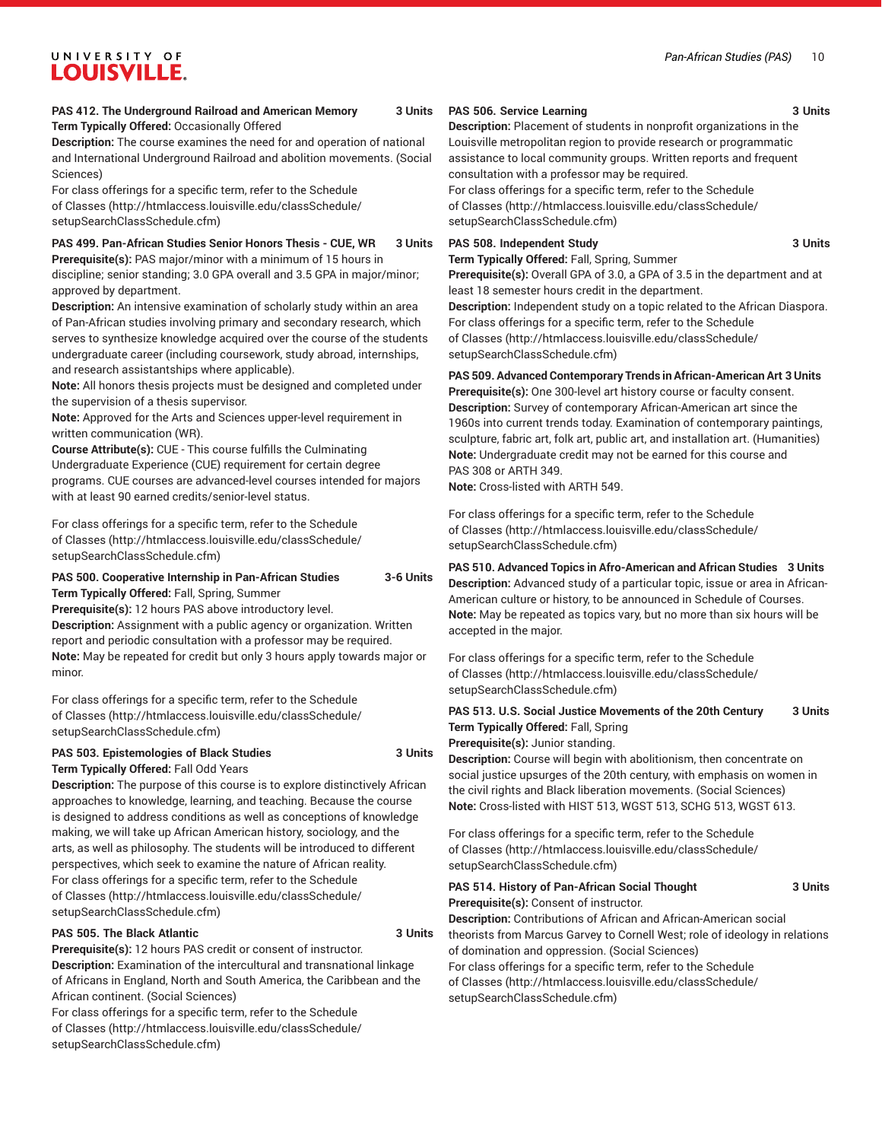#### *Pan-African Studies (PAS)* 10

# UNIVERSITY OF **LOUISVILLE.**

#### **PAS 412. The Underground Railroad and American Memory 3 Units Term Typically Offered:** Occasionally Offered

**Description:** The course examines the need for and operation of national and International Underground Railroad and abolition movements. (Social Sciences)

For class offerings for a specific term, refer to the [Schedule](http://htmlaccess.louisville.edu/classSchedule/setupSearchClassSchedule.cfm) [of Classes \(http://htmlaccess.louisville.edu/classSchedule/](http://htmlaccess.louisville.edu/classSchedule/setupSearchClassSchedule.cfm) [setupSearchClassSchedule.cfm\)](http://htmlaccess.louisville.edu/classSchedule/setupSearchClassSchedule.cfm)

#### **PAS 499. Pan-African Studies Senior Honors Thesis - CUE, WR 3 Units**

**Prerequisite(s):** PAS major/minor with a minimum of 15 hours in discipline; senior standing; 3.0 GPA overall and 3.5 GPA in major/minor; approved by department.

**Description:** An intensive examination of scholarly study within an area of Pan-African studies involving primary and secondary research, which serves to synthesize knowledge acquired over the course of the students undergraduate career (including coursework, study abroad, internships, and research assistantships where applicable).

**Note:** All honors thesis projects must be designed and completed under the supervision of a thesis supervisor.

**Note:** Approved for the Arts and Sciences upper-level requirement in written communication (WR).

**Course Attribute(s):** CUE - This course fulfills the Culminating Undergraduate Experience (CUE) requirement for certain degree programs. CUE courses are advanced-level courses intended for majors with at least 90 earned credits/senior-level status.

For class offerings for a specific term, refer to the [Schedule](http://htmlaccess.louisville.edu/classSchedule/setupSearchClassSchedule.cfm) [of Classes \(http://htmlaccess.louisville.edu/classSchedule/](http://htmlaccess.louisville.edu/classSchedule/setupSearchClassSchedule.cfm) [setupSearchClassSchedule.cfm\)](http://htmlaccess.louisville.edu/classSchedule/setupSearchClassSchedule.cfm)

#### **PAS 500. Cooperative Internship in Pan-African Studies 3-6 Units Term Typically Offered:** Fall, Spring, Summer

**Prerequisite(s):** 12 hours PAS above introductory level.

**Description:** Assignment with a public agency or organization. Written report and periodic consultation with a professor may be required. **Note:** May be repeated for credit but only 3 hours apply towards major or minor.

For class offerings for a specific term, refer to the [Schedule](http://htmlaccess.louisville.edu/classSchedule/setupSearchClassSchedule.cfm) [of Classes \(http://htmlaccess.louisville.edu/classSchedule/](http://htmlaccess.louisville.edu/classSchedule/setupSearchClassSchedule.cfm) [setupSearchClassSchedule.cfm\)](http://htmlaccess.louisville.edu/classSchedule/setupSearchClassSchedule.cfm)

#### **PAS 503. Epistemologies of Black Studies 3 Units Term Typically Offered:** Fall Odd Years

**Description:** The purpose of this course is to explore distinctively African approaches to knowledge, learning, and teaching. Because the course is designed to address conditions as well as conceptions of knowledge making, we will take up African American history, sociology, and the arts, as well as philosophy. The students will be introduced to different perspectives, which seek to examine the nature of African reality. For class offerings for a specific term, refer to the [Schedule](http://htmlaccess.louisville.edu/classSchedule/setupSearchClassSchedule.cfm) [of Classes \(http://htmlaccess.louisville.edu/classSchedule/](http://htmlaccess.louisville.edu/classSchedule/setupSearchClassSchedule.cfm) [setupSearchClassSchedule.cfm\)](http://htmlaccess.louisville.edu/classSchedule/setupSearchClassSchedule.cfm)

#### **PAS 505. The Black Atlantic 3 Units**

**Prerequisite(s):** 12 hours PAS credit or consent of instructor.

**Description:** Examination of the intercultural and transnational linkage of Africans in England, North and South America, the Caribbean and the African continent. (Social Sciences)

For class offerings for a specific term, refer to the [Schedule](http://htmlaccess.louisville.edu/classSchedule/setupSearchClassSchedule.cfm) [of Classes \(http://htmlaccess.louisville.edu/classSchedule/](http://htmlaccess.louisville.edu/classSchedule/setupSearchClassSchedule.cfm) [setupSearchClassSchedule.cfm\)](http://htmlaccess.louisville.edu/classSchedule/setupSearchClassSchedule.cfm)

#### **PAS 506. Service Learning 3 Units**

**Description:** Placement of students in nonprofit organizations in the Louisville metropolitan region to provide research or programmatic assistance to local community groups. Written reports and frequent consultation with a professor may be required.

For class offerings for a specific term, refer to the [Schedule](http://htmlaccess.louisville.edu/classSchedule/setupSearchClassSchedule.cfm) [of Classes](http://htmlaccess.louisville.edu/classSchedule/setupSearchClassSchedule.cfm) ([http://htmlaccess.louisville.edu/classSchedule/](http://htmlaccess.louisville.edu/classSchedule/setupSearchClassSchedule.cfm) [setupSearchClassSchedule.cfm\)](http://htmlaccess.louisville.edu/classSchedule/setupSearchClassSchedule.cfm)

#### **PAS 508. Independent Study 3 Units**

**Term Typically Offered:** Fall, Spring, Summer

**Prerequisite(s):** Overall GPA of 3.0, a GPA of 3.5 in the department and at least 18 semester hours credit in the department.

**Description:** Independent study on a topic related to the African Diaspora. For class offerings for a specific term, refer to the [Schedule](http://htmlaccess.louisville.edu/classSchedule/setupSearchClassSchedule.cfm) [of Classes](http://htmlaccess.louisville.edu/classSchedule/setupSearchClassSchedule.cfm) ([http://htmlaccess.louisville.edu/classSchedule/](http://htmlaccess.louisville.edu/classSchedule/setupSearchClassSchedule.cfm) [setupSearchClassSchedule.cfm\)](http://htmlaccess.louisville.edu/classSchedule/setupSearchClassSchedule.cfm)

**PAS 509. Advanced Contemporary Trends in African-American Art 3 Units Prerequisite(s):** One 300-level art history course or faculty consent. **Description:** Survey of contemporary African-American art since the 1960s into current trends today. Examination of contemporary paintings, sculpture, fabric art, folk art, public art, and installation art. (Humanities) **Note:** Undergraduate credit may not be earned for this course and PAS 308 or ARTH 349.

**Note:** Cross-listed with ARTH 549.

For class offerings for a specific term, refer to the [Schedule](http://htmlaccess.louisville.edu/classSchedule/setupSearchClassSchedule.cfm) [of Classes](http://htmlaccess.louisville.edu/classSchedule/setupSearchClassSchedule.cfm) ([http://htmlaccess.louisville.edu/classSchedule/](http://htmlaccess.louisville.edu/classSchedule/setupSearchClassSchedule.cfm) [setupSearchClassSchedule.cfm\)](http://htmlaccess.louisville.edu/classSchedule/setupSearchClassSchedule.cfm)

**PAS 510. Advanced Topics in Afro-American and African Studies 3 Units Description:** Advanced study of a particular topic, issue or area in African-American culture or history, to be announced in Schedule of Courses. **Note:** May be repeated as topics vary, but no more than six hours will be accepted in the major.

For class offerings for a specific term, refer to the [Schedule](http://htmlaccess.louisville.edu/classSchedule/setupSearchClassSchedule.cfm) [of Classes](http://htmlaccess.louisville.edu/classSchedule/setupSearchClassSchedule.cfm) ([http://htmlaccess.louisville.edu/classSchedule/](http://htmlaccess.louisville.edu/classSchedule/setupSearchClassSchedule.cfm) [setupSearchClassSchedule.cfm\)](http://htmlaccess.louisville.edu/classSchedule/setupSearchClassSchedule.cfm)

**PAS 513. U.S. Social Justice Movements of the 20th Century 3 Units Term Typically Offered:** Fall, Spring

**Prerequisite(s):** Junior standing.

**Description:** Course will begin with abolitionism, then concentrate on social justice upsurges of the 20th century, with emphasis on women in the civil rights and Black liberation movements. (Social Sciences) **Note:** Cross-listed with HIST 513, WGST 513, SCHG 513, WGST 613.

| <b>PAS 514. History of Pan-African Social Thought</b>                       | 3 Units |
|-----------------------------------------------------------------------------|---------|
| Prerequisite(s): Consent of instructor.                                     |         |
| <b>Description:</b> Contributions of African and African-American social    |         |
| theorists from Marcus Garvey to Cornell West; role of ideology in relations |         |
| of domination and oppression. (Social Sciences)                             |         |
| For class offerings for a specific term, refer to the Schedule              |         |
| of Classes (http://htmlaccess.louisville.edu/classSchedule/                 |         |
| setupSearchClassSchedule.cfm)                                               |         |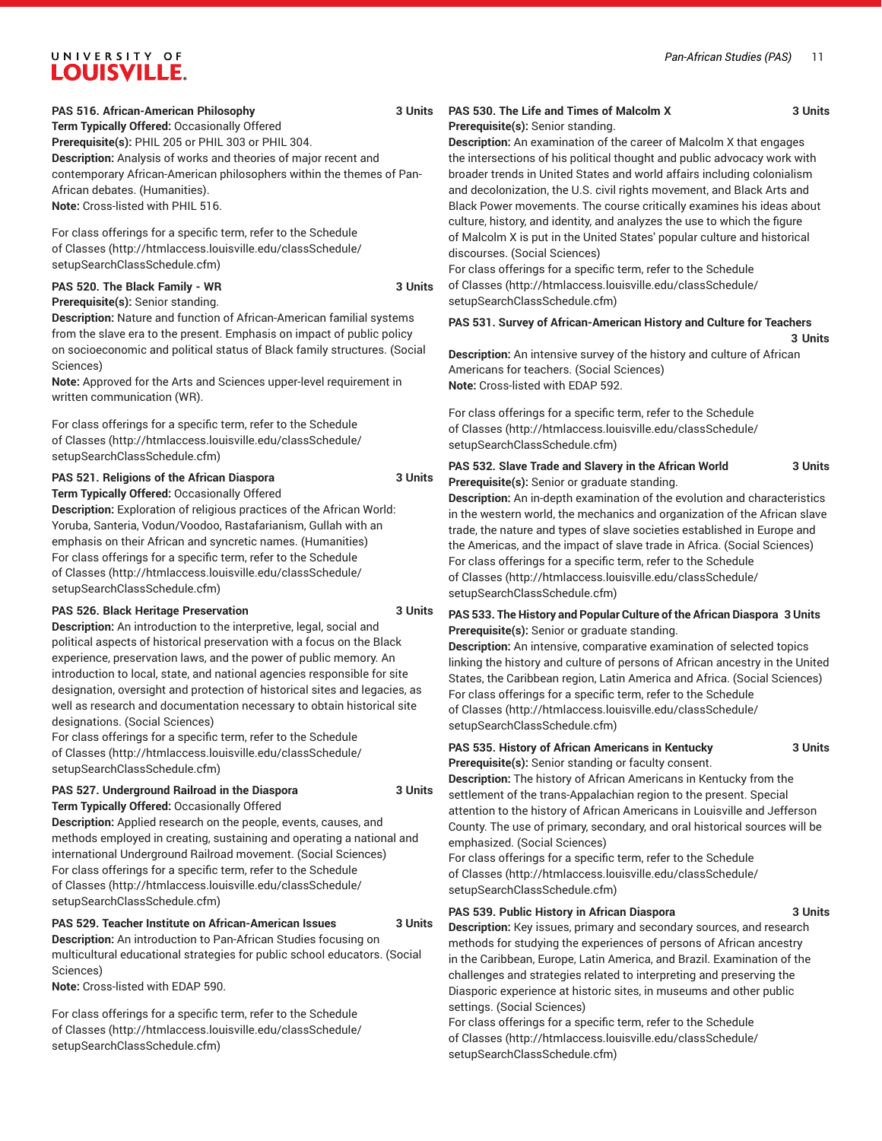**Term Typically Offered:** Occasionally Offered **Prerequisite(s):** PHIL 205 or PHIL 303 or PHIL 304. **Description:** Analysis of works and theories of major recent and contemporary African-American philosophers within the themes of Pan-African debates. (Humanities). **Note:** Cross-listed with PHIL 516.

For class offerings for a specific term, refer to the [Schedule](http://htmlaccess.louisville.edu/classSchedule/setupSearchClassSchedule.cfm) [of Classes \(http://htmlaccess.louisville.edu/classSchedule/](http://htmlaccess.louisville.edu/classSchedule/setupSearchClassSchedule.cfm) [setupSearchClassSchedule.cfm\)](http://htmlaccess.louisville.edu/classSchedule/setupSearchClassSchedule.cfm)

#### **PAS 520. The Black Family - WR 3 Units Prerequisite(s):** Senior standing.

**Description:** Nature and function of African-American familial systems from the slave era to the present. Emphasis on impact of public policy on socioeconomic and political status of Black family structures. (Social Sciences)

**Note:** Approved for the Arts and Sciences upper-level requirement in written communication (WR).

For class offerings for a specific term, refer to the [Schedule](http://htmlaccess.louisville.edu/classSchedule/setupSearchClassSchedule.cfm) [of Classes \(http://htmlaccess.louisville.edu/classSchedule/](http://htmlaccess.louisville.edu/classSchedule/setupSearchClassSchedule.cfm) [setupSearchClassSchedule.cfm\)](http://htmlaccess.louisville.edu/classSchedule/setupSearchClassSchedule.cfm)

# **PAS 521. Religions of the African Diaspora 3 Units**

**Term Typically Offered:** Occasionally Offered **Description:** Exploration of religious practices of the African World: Yoruba, Santeria, Vodun/Voodoo, Rastafarianism, Gullah with an emphasis on their African and syncretic names. (Humanities) For class offerings for a specific term, refer to the [Schedule](http://htmlaccess.louisville.edu/classSchedule/setupSearchClassSchedule.cfm) [of Classes \(http://htmlaccess.louisville.edu/classSchedule/](http://htmlaccess.louisville.edu/classSchedule/setupSearchClassSchedule.cfm) [setupSearchClassSchedule.cfm\)](http://htmlaccess.louisville.edu/classSchedule/setupSearchClassSchedule.cfm)

#### **PAS 526. Black Heritage Preservation 3 Units**

**Description:** An introduction to the interpretive, legal, social and political aspects of historical preservation with a focus on the Black experience, preservation laws, and the power of public memory. An introduction to local, state, and national agencies responsible for site designation, oversight and protection of historical sites and legacies, as well as research and documentation necessary to obtain historical site designations. (Social Sciences)

For class offerings for a specific term, refer to the [Schedule](http://htmlaccess.louisville.edu/classSchedule/setupSearchClassSchedule.cfm) [of Classes \(http://htmlaccess.louisville.edu/classSchedule/](http://htmlaccess.louisville.edu/classSchedule/setupSearchClassSchedule.cfm) [setupSearchClassSchedule.cfm\)](http://htmlaccess.louisville.edu/classSchedule/setupSearchClassSchedule.cfm)

#### **PAS 527. Underground Railroad in the Diaspora 3 Units Term Typically Offered:** Occasionally Offered

**Description:** Applied research on the people, events, causes, and methods employed in creating, sustaining and operating a national and international Underground Railroad movement. (Social Sciences) For class offerings for a specific term, refer to the [Schedule](http://htmlaccess.louisville.edu/classSchedule/setupSearchClassSchedule.cfm) [of Classes \(http://htmlaccess.louisville.edu/classSchedule/](http://htmlaccess.louisville.edu/classSchedule/setupSearchClassSchedule.cfm) [setupSearchClassSchedule.cfm\)](http://htmlaccess.louisville.edu/classSchedule/setupSearchClassSchedule.cfm)

#### **PAS 529. Teacher Institute on African-American Issues 3 Units**

**Description:** An introduction to Pan-African Studies focusing on multicultural educational strategies for public school educators. (Social Sciences)

**Note:** Cross-listed with EDAP 590.

For class offerings for a specific term, refer to the [Schedule](http://htmlaccess.louisville.edu/classSchedule/setupSearchClassSchedule.cfm) [of Classes \(http://htmlaccess.louisville.edu/classSchedule/](http://htmlaccess.louisville.edu/classSchedule/setupSearchClassSchedule.cfm) [setupSearchClassSchedule.cfm\)](http://htmlaccess.louisville.edu/classSchedule/setupSearchClassSchedule.cfm)

#### **PAS 530. The Life and Times of Malcolm X 3 Units Prerequisite(s):** Senior standing.

**Description:** An examination of the career of Malcolm X that engages the intersections of his political thought and public advocacy work with broader trends in United States and world affairs including colonialism and decolonization, the U.S. civil rights movement, and Black Arts and Black Power movements. The course critically examines his ideas about culture, history, and identity, and analyzes the use to which the figure of Malcolm X is put in the United States' popular culture and historical discourses. (Social Sciences)

For class offerings for a specific term, refer to the [Schedule](http://htmlaccess.louisville.edu/classSchedule/setupSearchClassSchedule.cfm) [of Classes](http://htmlaccess.louisville.edu/classSchedule/setupSearchClassSchedule.cfm) ([http://htmlaccess.louisville.edu/classSchedule/](http://htmlaccess.louisville.edu/classSchedule/setupSearchClassSchedule.cfm) [setupSearchClassSchedule.cfm\)](http://htmlaccess.louisville.edu/classSchedule/setupSearchClassSchedule.cfm)

#### **PAS 531. Survey of African-American History and Culture for Teachers 3 Units**

**Description:** An intensive survey of the history and culture of African Americans for teachers. (Social Sciences) **Note:** Cross-listed with EDAP 592.

For class offerings for a specific term, refer to the [Schedule](http://htmlaccess.louisville.edu/classSchedule/setupSearchClassSchedule.cfm) [of Classes](http://htmlaccess.louisville.edu/classSchedule/setupSearchClassSchedule.cfm) ([http://htmlaccess.louisville.edu/classSchedule/](http://htmlaccess.louisville.edu/classSchedule/setupSearchClassSchedule.cfm) [setupSearchClassSchedule.cfm\)](http://htmlaccess.louisville.edu/classSchedule/setupSearchClassSchedule.cfm)

#### **PAS 532. Slave Trade and Slavery in the African World 3 Units Prerequisite(s):** Senior or graduate standing.

**Description:** An in-depth examination of the evolution and characteristics in the western world, the mechanics and organization of the African slave trade, the nature and types of slave societies established in Europe and the Americas, and the impact of slave trade in Africa. (Social Sciences) For class offerings for a specific term, refer to the [Schedule](http://htmlaccess.louisville.edu/classSchedule/setupSearchClassSchedule.cfm) [of Classes](http://htmlaccess.louisville.edu/classSchedule/setupSearchClassSchedule.cfm) ([http://htmlaccess.louisville.edu/classSchedule/](http://htmlaccess.louisville.edu/classSchedule/setupSearchClassSchedule.cfm) [setupSearchClassSchedule.cfm\)](http://htmlaccess.louisville.edu/classSchedule/setupSearchClassSchedule.cfm)

#### **PAS 533. The History and Popular Culture of the African Diaspora 3 Units Prerequisite(s):** Senior or graduate standing.

**Description:** An intensive, comparative examination of selected topics linking the history and culture of persons of African ancestry in the United States, the Caribbean region, Latin America and Africa. (Social Sciences) For class offerings for a specific term, refer to the [Schedule](http://htmlaccess.louisville.edu/classSchedule/setupSearchClassSchedule.cfm) [of Classes](http://htmlaccess.louisville.edu/classSchedule/setupSearchClassSchedule.cfm) ([http://htmlaccess.louisville.edu/classSchedule/](http://htmlaccess.louisville.edu/classSchedule/setupSearchClassSchedule.cfm) [setupSearchClassSchedule.cfm\)](http://htmlaccess.louisville.edu/classSchedule/setupSearchClassSchedule.cfm)

#### **PAS 535. History of African Americans in Kentucky 3 Units Prerequisite(s):** Senior standing or faculty consent.

**Description:** The history of African Americans in Kentucky from the settlement of the trans-Appalachian region to the present. Special attention to the history of African Americans in Louisville and Jefferson County. The use of primary, secondary, and oral historical sources will be emphasized. (Social Sciences)

For class offerings for a specific term, refer to the [Schedule](http://htmlaccess.louisville.edu/classSchedule/setupSearchClassSchedule.cfm) [of Classes](http://htmlaccess.louisville.edu/classSchedule/setupSearchClassSchedule.cfm) ([http://htmlaccess.louisville.edu/classSchedule/](http://htmlaccess.louisville.edu/classSchedule/setupSearchClassSchedule.cfm) [setupSearchClassSchedule.cfm\)](http://htmlaccess.louisville.edu/classSchedule/setupSearchClassSchedule.cfm)

#### **PAS 539. Public History in African Diaspora 3 Units**

**Description:** Key issues, primary and secondary sources, and research methods for studying the experiences of persons of African ancestry in the Caribbean, Europe, Latin America, and Brazil. Examination of the challenges and strategies related to interpreting and preserving the Diasporic experience at historic sites, in museums and other public settings. (Social Sciences)

For class offerings for a specific term, refer to the [Schedule](http://htmlaccess.louisville.edu/classSchedule/setupSearchClassSchedule.cfm) [of Classes](http://htmlaccess.louisville.edu/classSchedule/setupSearchClassSchedule.cfm) ([http://htmlaccess.louisville.edu/classSchedule/](http://htmlaccess.louisville.edu/classSchedule/setupSearchClassSchedule.cfm) [setupSearchClassSchedule.cfm\)](http://htmlaccess.louisville.edu/classSchedule/setupSearchClassSchedule.cfm)

*Pan-African Studies (PAS)* 11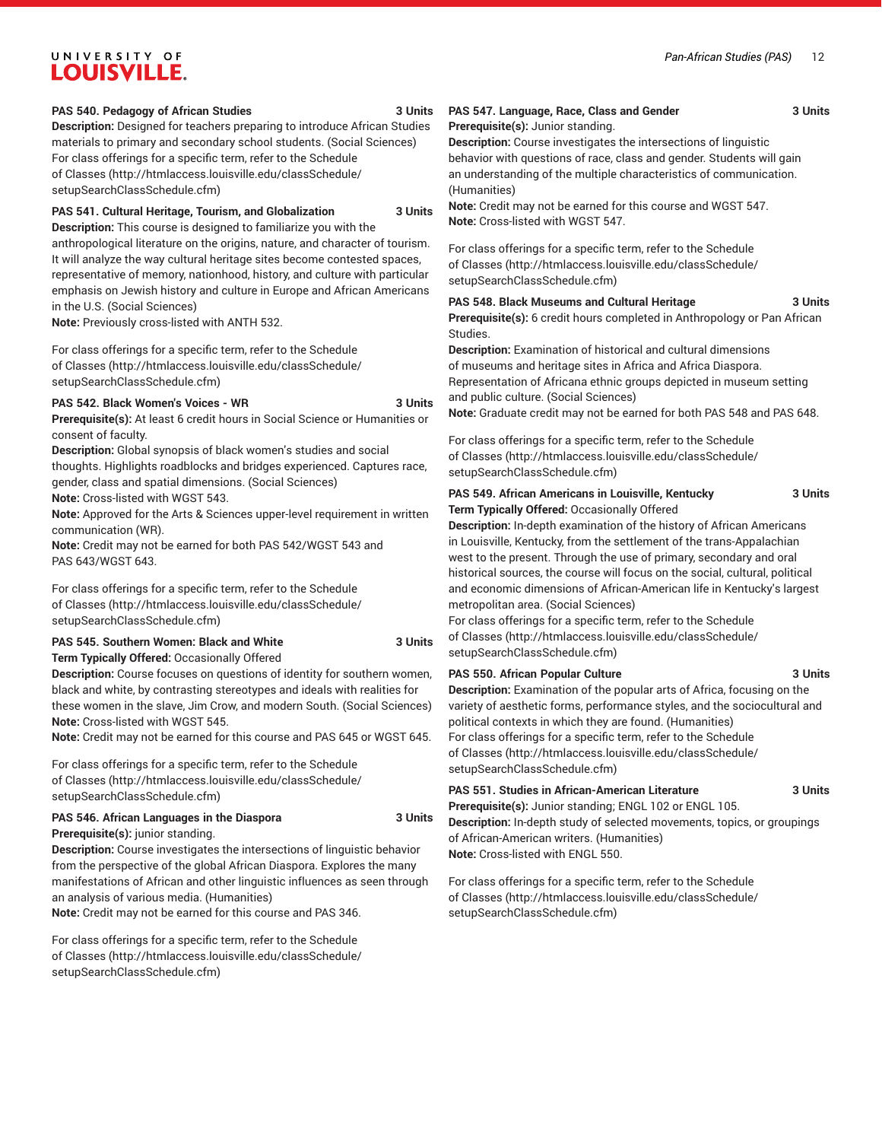#### **PAS 540. Pedagogy of African Studies 3 Units**

**Description:** Designed for teachers preparing to introduce African Studies materials to primary and secondary school students. (Social Sciences) For class offerings for a specific term, refer to the [Schedule](http://htmlaccess.louisville.edu/classSchedule/setupSearchClassSchedule.cfm) [of Classes \(http://htmlaccess.louisville.edu/classSchedule/](http://htmlaccess.louisville.edu/classSchedule/setupSearchClassSchedule.cfm) [setupSearchClassSchedule.cfm\)](http://htmlaccess.louisville.edu/classSchedule/setupSearchClassSchedule.cfm)

**PAS 541. Cultural Heritage, Tourism, and Globalization 3 Units**

**Description:** This course is designed to familiarize you with the anthropological literature on the origins, nature, and character of tourism. It will analyze the way cultural heritage sites become contested spaces, representative of memory, nationhood, history, and culture with particular emphasis on Jewish history and culture in Europe and African Americans in the U.S. (Social Sciences)

**Note:** Previously cross-listed with ANTH 532.

For class offerings for a specific term, refer to the [Schedule](http://htmlaccess.louisville.edu/classSchedule/setupSearchClassSchedule.cfm) [of Classes \(http://htmlaccess.louisville.edu/classSchedule/](http://htmlaccess.louisville.edu/classSchedule/setupSearchClassSchedule.cfm) [setupSearchClassSchedule.cfm\)](http://htmlaccess.louisville.edu/classSchedule/setupSearchClassSchedule.cfm)

#### **PAS 542. Black Women's Voices - WR 3 Units**

**Prerequisite(s):** At least 6 credit hours in Social Science or Humanities or consent of faculty.

**Description:** Global synopsis of black women's studies and social

thoughts. Highlights roadblocks and bridges experienced. Captures race, gender, class and spatial dimensions. (Social Sciences)

**Note:** Cross-listed with WGST 543.

**Note:** Approved for the Arts & Sciences upper-level requirement in written communication (WR).

**Note:** Credit may not be earned for both PAS 542/WGST 543 and PAS 643/WGST 643.

For class offerings for a specific term, refer to the [Schedule](http://htmlaccess.louisville.edu/classSchedule/setupSearchClassSchedule.cfm) [of Classes \(http://htmlaccess.louisville.edu/classSchedule/](http://htmlaccess.louisville.edu/classSchedule/setupSearchClassSchedule.cfm) [setupSearchClassSchedule.cfm\)](http://htmlaccess.louisville.edu/classSchedule/setupSearchClassSchedule.cfm)

#### **PAS 545. Southern Women: Black and White 3 Units Term Typically Offered:** Occasionally Offered

**Description:** Course focuses on questions of identity for southern women, black and white, by contrasting stereotypes and ideals with realities for these women in the slave, Jim Crow, and modern South. (Social Sciences)

**Note:** Cross-listed with WGST 545. **Note:** Credit may not be earned for this course and PAS 645 or WGST 645.

For class offerings for a specific term, refer to the [Schedule](http://htmlaccess.louisville.edu/classSchedule/setupSearchClassSchedule.cfm) [of Classes \(http://htmlaccess.louisville.edu/classSchedule/](http://htmlaccess.louisville.edu/classSchedule/setupSearchClassSchedule.cfm) [setupSearchClassSchedule.cfm\)](http://htmlaccess.louisville.edu/classSchedule/setupSearchClassSchedule.cfm)

## **PAS 546. African Languages in the Diaspora 3 Units**

**Prerequisite(s):** junior standing. **Description:** Course investigates the intersections of linguistic behavior from the perspective of the global African Diaspora. Explores the many manifestations of African and other linguistic influences as seen through an analysis of various media. (Humanities)

**Note:** Credit may not be earned for this course and PAS 346.

For class offerings for a specific term, refer to the [Schedule](http://htmlaccess.louisville.edu/classSchedule/setupSearchClassSchedule.cfm) [of Classes \(http://htmlaccess.louisville.edu/classSchedule/](http://htmlaccess.louisville.edu/classSchedule/setupSearchClassSchedule.cfm) [setupSearchClassSchedule.cfm\)](http://htmlaccess.louisville.edu/classSchedule/setupSearchClassSchedule.cfm)

#### **PAS 547. Language, Race, Class and Gender 3 Units**

```
Prerequisite(s): Junior standing.
```
**Description:** Course investigates the intersections of linguistic behavior with questions of race, class and gender. Students will gain an understanding of the multiple characteristics of communication. (Humanities)

**Note:** Credit may not be earned for this course and WGST 547. **Note:** Cross-listed with WGST 547.

For class offerings for a specific term, refer to the [Schedule](http://htmlaccess.louisville.edu/classSchedule/setupSearchClassSchedule.cfm) [of Classes](http://htmlaccess.louisville.edu/classSchedule/setupSearchClassSchedule.cfm) ([http://htmlaccess.louisville.edu/classSchedule/](http://htmlaccess.louisville.edu/classSchedule/setupSearchClassSchedule.cfm) [setupSearchClassSchedule.cfm\)](http://htmlaccess.louisville.edu/classSchedule/setupSearchClassSchedule.cfm)

**PAS 548. Black Museums and Cultural Heritage 3 Units Prerequisite(s):** 6 credit hours completed in Anthropology or Pan African Studies.

**Description:** Examination of historical and cultural dimensions of museums and heritage sites in Africa and Africa Diaspora. Representation of Africana ethnic groups depicted in museum setting and public culture. (Social Sciences)

**Note:** Graduate credit may not be earned for both PAS 548 and PAS 648.

For class offerings for a specific term, refer to the [Schedule](http://htmlaccess.louisville.edu/classSchedule/setupSearchClassSchedule.cfm) [of Classes](http://htmlaccess.louisville.edu/classSchedule/setupSearchClassSchedule.cfm) ([http://htmlaccess.louisville.edu/classSchedule/](http://htmlaccess.louisville.edu/classSchedule/setupSearchClassSchedule.cfm) [setupSearchClassSchedule.cfm\)](http://htmlaccess.louisville.edu/classSchedule/setupSearchClassSchedule.cfm)

#### **PAS 549. African Americans in Louisville, Kentucky 3 Units Term Typically Offered:** Occasionally Offered

**Description:** In-depth examination of the history of African Americans in Louisville, Kentucky, from the settlement of the trans-Appalachian west to the present. Through the use of primary, secondary and oral historical sources, the course will focus on the social, cultural, political and economic dimensions of African-American life in Kentucky's largest metropolitan area. (Social Sciences)

For class offerings for a specific term, refer to the [Schedule](http://htmlaccess.louisville.edu/classSchedule/setupSearchClassSchedule.cfm) [of Classes](http://htmlaccess.louisville.edu/classSchedule/setupSearchClassSchedule.cfm) ([http://htmlaccess.louisville.edu/classSchedule/](http://htmlaccess.louisville.edu/classSchedule/setupSearchClassSchedule.cfm) [setupSearchClassSchedule.cfm\)](http://htmlaccess.louisville.edu/classSchedule/setupSearchClassSchedule.cfm)

[setupSearchClassSchedule.cfm\)](http://htmlaccess.louisville.edu/classSchedule/setupSearchClassSchedule.cfm)

**PAS 550. African Popular Culture 3 Units Description:** Examination of the popular arts of Africa, focusing on the variety of aesthetic forms, performance styles, and the sociocultural and political contexts in which they are found. (Humanities) For class offerings for a specific term, refer to the [Schedule](http://htmlaccess.louisville.edu/classSchedule/setupSearchClassSchedule.cfm) [of Classes](http://htmlaccess.louisville.edu/classSchedule/setupSearchClassSchedule.cfm) ([http://htmlaccess.louisville.edu/classSchedule/](http://htmlaccess.louisville.edu/classSchedule/setupSearchClassSchedule.cfm)

**PAS 551. Studies in African-American Literature 3 Units**

**Prerequisite(s):** Junior standing; ENGL 102 or ENGL 105. **Description:** In-depth study of selected movements, topics, or groupings of African-American writers. (Humanities) **Note:** Cross-listed with ENGL 550.